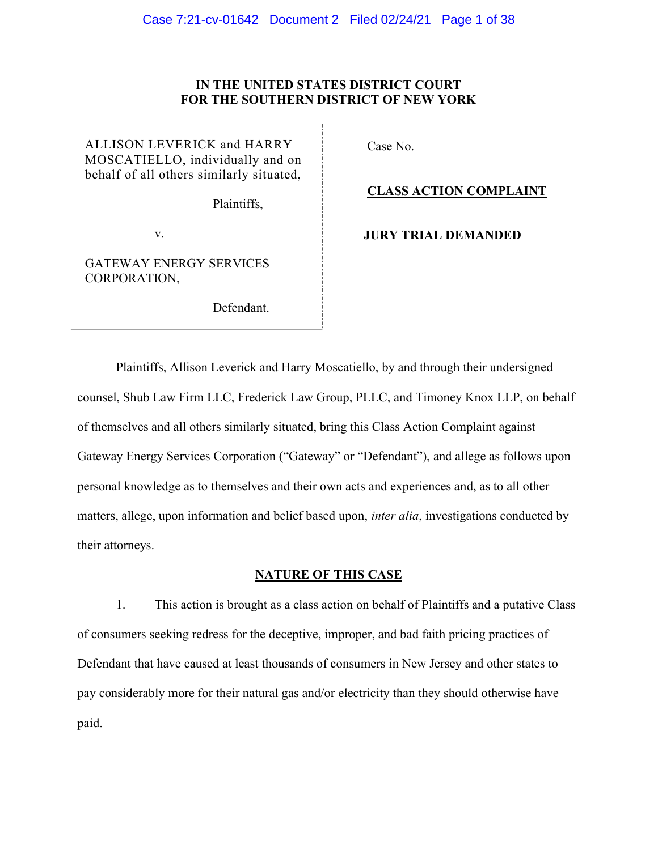## IN THE UNITED STATES DISTRICT COURT FOR THE SOUTHERN DISTRICT OF NEW YORK

ALLISON LEVERICK and HARRY MOSCATIELLO, individually and on behalf of all others similarly situated,

Plaintiffs,

v.

GATEWAY ENERGY SERVICES CORPORATION,

Defendant.

Case No.

### CLASS ACTION COMPLAINT

JURY TRIAL DEMANDED

Plaintiffs, Allison Leverick and Harry Moscatiello, by and through their undersigned counsel, Shub Law Firm LLC, Frederick Law Group, PLLC, and Timoney Knox LLP, on behalf of themselves and all others similarly situated, bring this Class Action Complaint against Gateway Energy Services Corporation ("Gateway" or "Defendant"), and allege as follows upon personal knowledge as to themselves and their own acts and experiences and, as to all other matters, allege, upon information and belief based upon, *inter alia*, investigations conducted by their attorneys.

# NATURE OF THIS CASE

1. This action is brought as a class action on behalf of Plaintiffs and a putative Class of consumers seeking redress for the deceptive, improper, and bad faith pricing practices of Defendant that have caused at least thousands of consumers in New Jersey and other states to pay considerably more for their natural gas and/or electricity than they should otherwise have paid.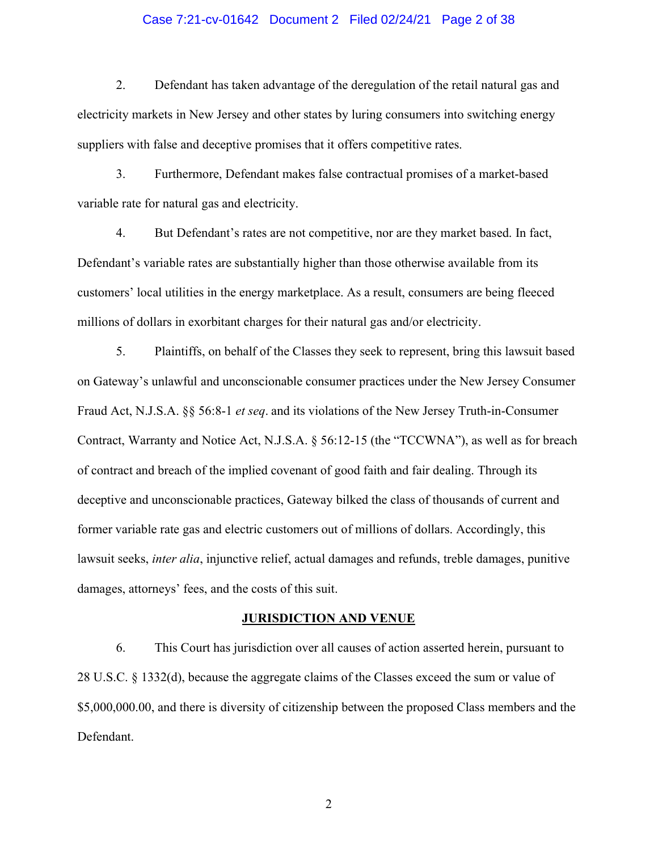### Case 7:21-cv-01642 Document 2 Filed 02/24/21 Page 2 of 38

2. Defendant has taken advantage of the deregulation of the retail natural gas and electricity markets in New Jersey and other states by luring consumers into switching energy suppliers with false and deceptive promises that it offers competitive rates.

3. Furthermore, Defendant makes false contractual promises of a market-based variable rate for natural gas and electricity.

4. But Defendant's rates are not competitive, nor are they market based. In fact, Defendant's variable rates are substantially higher than those otherwise available from its customers' local utilities in the energy marketplace. As a result, consumers are being fleeced millions of dollars in exorbitant charges for their natural gas and/or electricity.

5. Plaintiffs, on behalf of the Classes they seek to represent, bring this lawsuit based on Gateway's unlawful and unconscionable consumer practices under the New Jersey Consumer Fraud Act, N.J.S.A. §§ 56:8-1 et seq. and its violations of the New Jersey Truth-in-Consumer Contract, Warranty and Notice Act, N.J.S.A. § 56:12-15 (the "TCCWNA"), as well as for breach of contract and breach of the implied covenant of good faith and fair dealing. Through its deceptive and unconscionable practices, Gateway bilked the class of thousands of current and former variable rate gas and electric customers out of millions of dollars. Accordingly, this lawsuit seeks, inter alia, injunctive relief, actual damages and refunds, treble damages, punitive damages, attorneys' fees, and the costs of this suit.

### JURISDICTION AND VENUE

6. This Court has jurisdiction over all causes of action asserted herein, pursuant to 28 U.S.C. § 1332(d), because the aggregate claims of the Classes exceed the sum or value of \$5,000,000.00, and there is diversity of citizenship between the proposed Class members and the Defendant.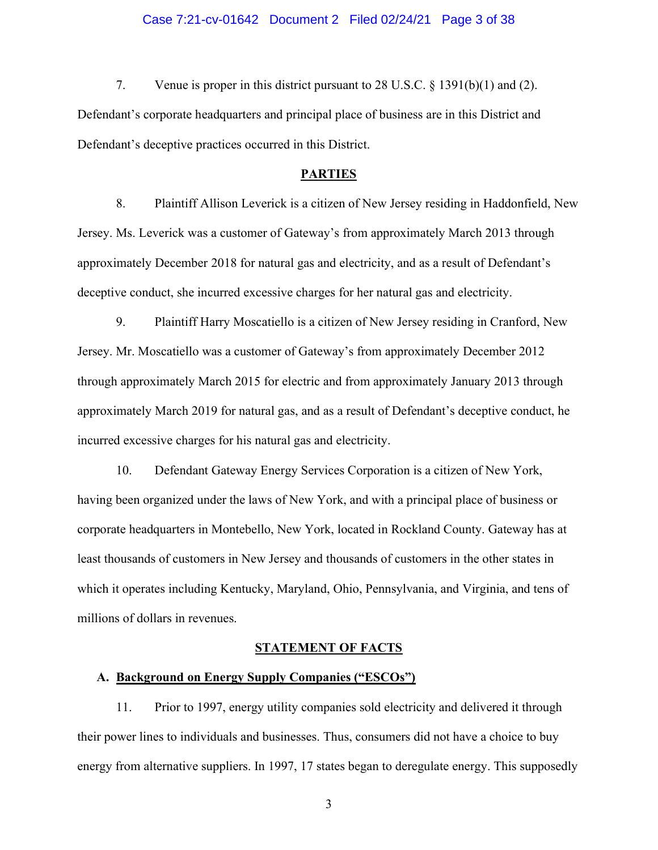### Case 7:21-cv-01642 Document 2 Filed 02/24/21 Page 3 of 38

7. Venue is proper in this district pursuant to 28 U.S.C. § 1391(b)(1) and (2). Defendant's corporate headquarters and principal place of business are in this District and Defendant's deceptive practices occurred in this District.

### PARTIES

8. Plaintiff Allison Leverick is a citizen of New Jersey residing in Haddonfield, New Jersey. Ms. Leverick was a customer of Gateway's from approximately March 2013 through approximately December 2018 for natural gas and electricity, and as a result of Defendant's deceptive conduct, she incurred excessive charges for her natural gas and electricity.

9. Plaintiff Harry Moscatiello is a citizen of New Jersey residing in Cranford, New Jersey. Mr. Moscatiello was a customer of Gateway's from approximately December 2012 through approximately March 2015 for electric and from approximately January 2013 through approximately March 2019 for natural gas, and as a result of Defendant's deceptive conduct, he incurred excessive charges for his natural gas and electricity.

10. Defendant Gateway Energy Services Corporation is a citizen of New York, having been organized under the laws of New York, and with a principal place of business or corporate headquarters in Montebello, New York, located in Rockland County. Gateway has at least thousands of customers in New Jersey and thousands of customers in the other states in which it operates including Kentucky, Maryland, Ohio, Pennsylvania, and Virginia, and tens of millions of dollars in revenues.

### STATEMENT OF FACTS

## A. Background on Energy Supply Companies ("ESCOs")

11. Prior to 1997, energy utility companies sold electricity and delivered it through their power lines to individuals and businesses. Thus, consumers did not have a choice to buy energy from alternative suppliers. In 1997, 17 states began to deregulate energy. This supposedly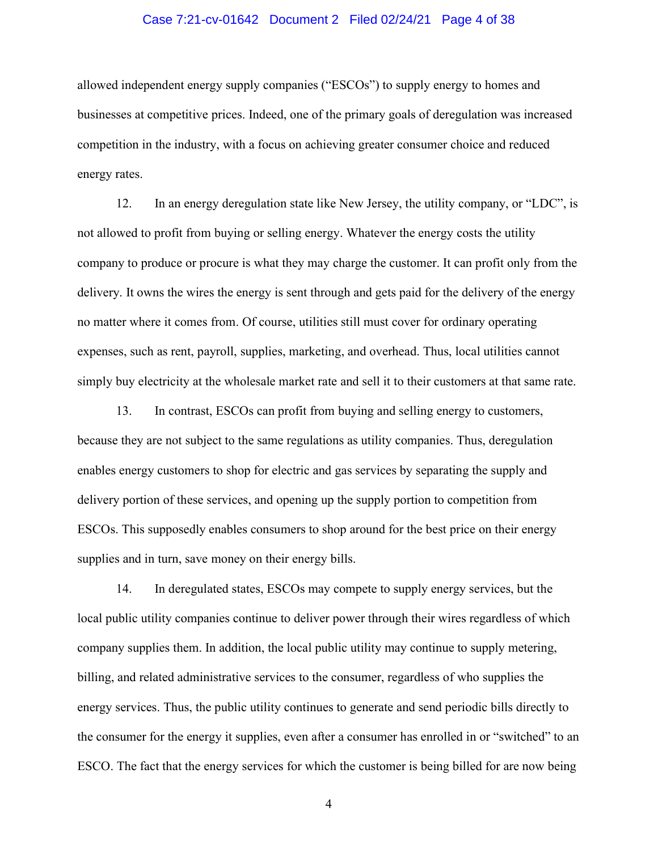### Case 7:21-cv-01642 Document 2 Filed 02/24/21 Page 4 of 38

allowed independent energy supply companies ("ESCOs") to supply energy to homes and businesses at competitive prices. Indeed, one of the primary goals of deregulation was increased competition in the industry, with a focus on achieving greater consumer choice and reduced energy rates.

12. In an energy deregulation state like New Jersey, the utility company, or "LDC", is not allowed to profit from buying or selling energy. Whatever the energy costs the utility company to produce or procure is what they may charge the customer. It can profit only from the delivery. It owns the wires the energy is sent through and gets paid for the delivery of the energy no matter where it comes from. Of course, utilities still must cover for ordinary operating expenses, such as rent, payroll, supplies, marketing, and overhead. Thus, local utilities cannot simply buy electricity at the wholesale market rate and sell it to their customers at that same rate.

13. In contrast, ESCOs can profit from buying and selling energy to customers, because they are not subject to the same regulations as utility companies. Thus, deregulation enables energy customers to shop for electric and gas services by separating the supply and delivery portion of these services, and opening up the supply portion to competition from ESCOs. This supposedly enables consumers to shop around for the best price on their energy supplies and in turn, save money on their energy bills.

14. In deregulated states, ESCOs may compete to supply energy services, but the local public utility companies continue to deliver power through their wires regardless of which company supplies them. In addition, the local public utility may continue to supply metering, billing, and related administrative services to the consumer, regardless of who supplies the energy services. Thus, the public utility continues to generate and send periodic bills directly to the consumer for the energy it supplies, even after a consumer has enrolled in or "switched" to an ESCO. The fact that the energy services for which the customer is being billed for are now being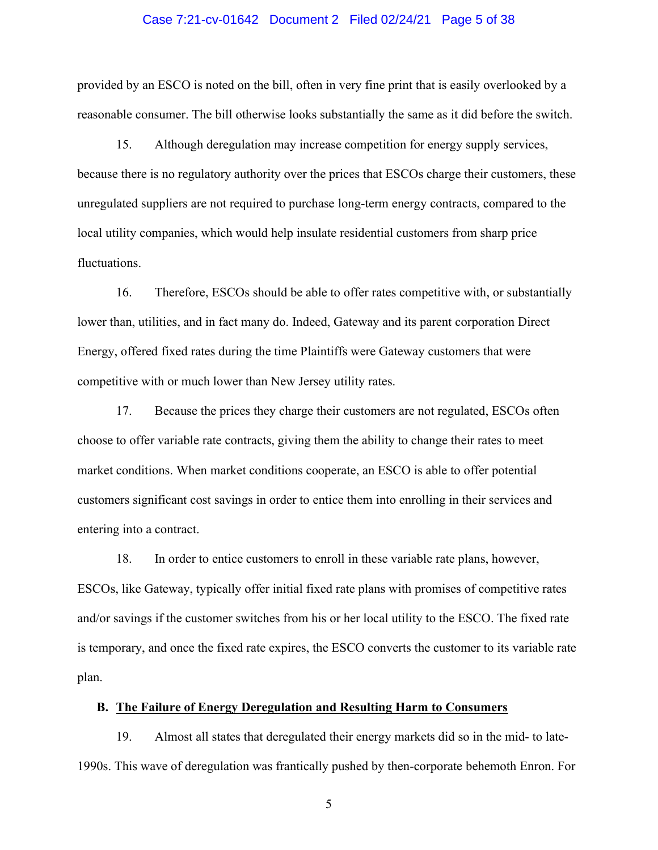### Case 7:21-cv-01642 Document 2 Filed 02/24/21 Page 5 of 38

provided by an ESCO is noted on the bill, often in very fine print that is easily overlooked by a reasonable consumer. The bill otherwise looks substantially the same as it did before the switch.

15. Although deregulation may increase competition for energy supply services, because there is no regulatory authority over the prices that ESCOs charge their customers, these unregulated suppliers are not required to purchase long-term energy contracts, compared to the local utility companies, which would help insulate residential customers from sharp price fluctuations.

16. Therefore, ESCOs should be able to offer rates competitive with, or substantially lower than, utilities, and in fact many do. Indeed, Gateway and its parent corporation Direct Energy, offered fixed rates during the time Plaintiffs were Gateway customers that were competitive with or much lower than New Jersey utility rates.

17. Because the prices they charge their customers are not regulated, ESCOs often choose to offer variable rate contracts, giving them the ability to change their rates to meet market conditions. When market conditions cooperate, an ESCO is able to offer potential customers significant cost savings in order to entice them into enrolling in their services and entering into a contract.

18. In order to entice customers to enroll in these variable rate plans, however, ESCOs, like Gateway, typically offer initial fixed rate plans with promises of competitive rates and/or savings if the customer switches from his or her local utility to the ESCO. The fixed rate is temporary, and once the fixed rate expires, the ESCO converts the customer to its variable rate plan.

## B. The Failure of Energy Deregulation and Resulting Harm to Consumers

19. Almost all states that deregulated their energy markets did so in the mid- to late-1990s. This wave of deregulation was frantically pushed by then-corporate behemoth Enron. For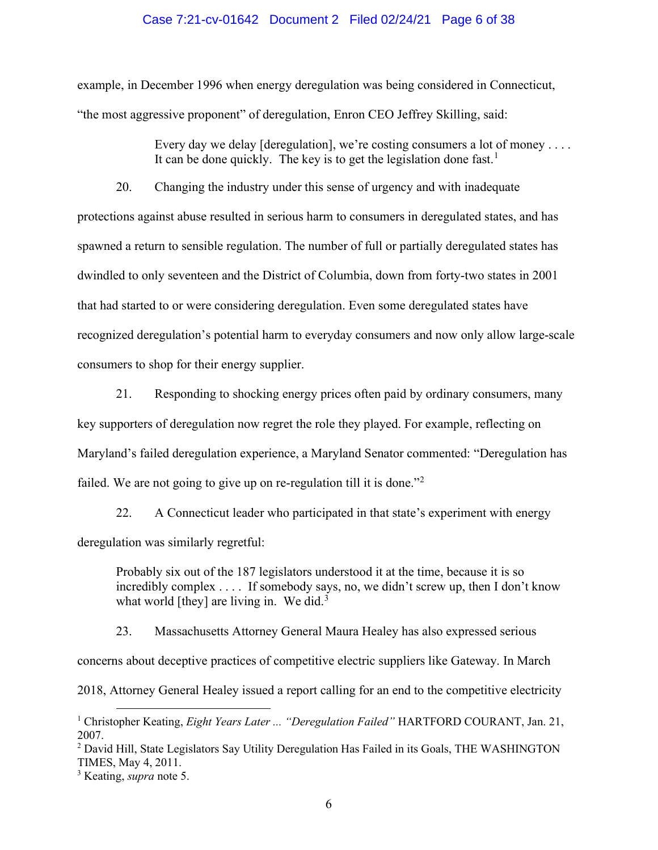### Case 7:21-cv-01642 Document 2 Filed 02/24/21 Page 6 of 38

example, in December 1996 when energy deregulation was being considered in Connecticut, "the most aggressive proponent" of deregulation, Enron CEO Jeffrey Skilling, said:

> Every day we delay [deregulation], we're costing consumers a lot of money  $\dots$ It can be done quickly. The key is to get the legislation done fast.<sup>1</sup>

20. Changing the industry under this sense of urgency and with inadequate protections against abuse resulted in serious harm to consumers in deregulated states, and has spawned a return to sensible regulation. The number of full or partially deregulated states has dwindled to only seventeen and the District of Columbia, down from forty-two states in 2001 that had started to or were considering deregulation. Even some deregulated states have recognized deregulation's potential harm to everyday consumers and now only allow large-scale consumers to shop for their energy supplier.

21. Responding to shocking energy prices often paid by ordinary consumers, many key supporters of deregulation now regret the role they played. For example, reflecting on Maryland's failed deregulation experience, a Maryland Senator commented: "Deregulation has failed. We are not going to give up on re-regulation till it is done."<sup>2</sup>

22. A Connecticut leader who participated in that state's experiment with energy deregulation was similarly regretful:

Probably six out of the 187 legislators understood it at the time, because it is so incredibly complex . . . . If somebody says, no, we didn't screw up, then I don't know what world [they] are living in. We did.<sup>3</sup>

23. Massachusetts Attorney General Maura Healey has also expressed serious concerns about deceptive practices of competitive electric suppliers like Gateway. In March 2018, Attorney General Healey issued a report calling for an end to the competitive electricity

<sup>&</sup>lt;sup>1</sup> Christopher Keating, *Eight Years Later ... "Deregulation Failed"* HARTFORD COURANT, Jan. 21, 2007.

<sup>&</sup>lt;sup>2</sup> David Hill, State Legislators Say Utility Deregulation Has Failed in its Goals, THE WASHINGTON TIMES, May 4, 2011.

<sup>&</sup>lt;sup>3</sup> Keating, *supra* note 5.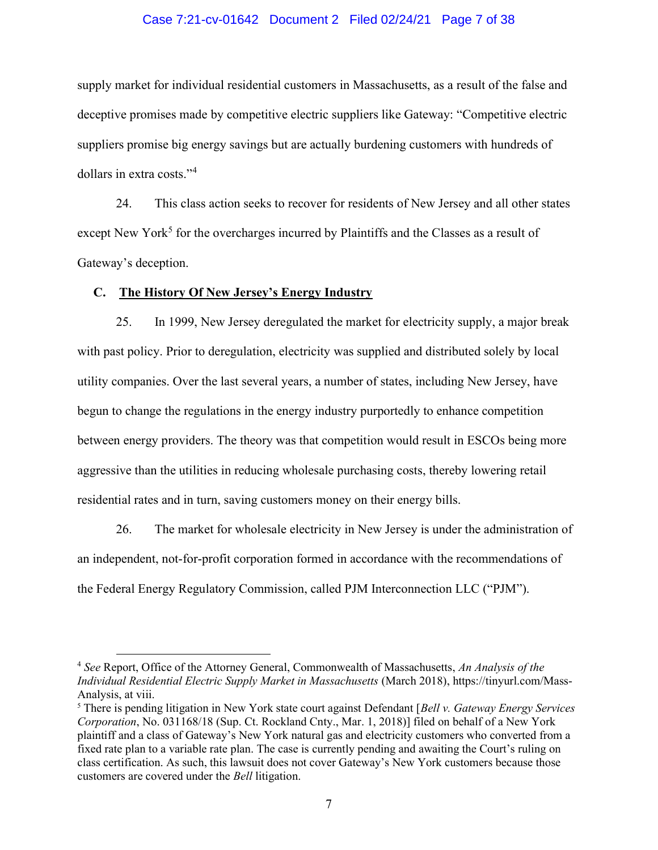### Case 7:21-cv-01642 Document 2 Filed 02/24/21 Page 7 of 38

supply market for individual residential customers in Massachusetts, as a result of the false and deceptive promises made by competitive electric suppliers like Gateway: "Competitive electric suppliers promise big energy savings but are actually burdening customers with hundreds of dollars in extra costs."<sup>4</sup>

24. This class action seeks to recover for residents of New Jersey and all other states except New York<sup>5</sup> for the overcharges incurred by Plaintiffs and the Classes as a result of Gateway's deception.

# C. The History Of New Jersey's Energy Industry

25. In 1999, New Jersey deregulated the market for electricity supply, a major break with past policy. Prior to deregulation, electricity was supplied and distributed solely by local utility companies. Over the last several years, a number of states, including New Jersey, have begun to change the regulations in the energy industry purportedly to enhance competition between energy providers. The theory was that competition would result in ESCOs being more aggressive than the utilities in reducing wholesale purchasing costs, thereby lowering retail residential rates and in turn, saving customers money on their energy bills.

26. The market for wholesale electricity in New Jersey is under the administration of an independent, not-for-profit corporation formed in accordance with the recommendations of the Federal Energy Regulatory Commission, called PJM Interconnection LLC ("PJM").

 $4$  See Report, Office of the Attorney General, Commonwealth of Massachusetts, An Analysis of the Individual Residential Electric Supply Market in Massachusetts (March 2018), https://tinyurl.com/Mass-Analysis, at viii.

<sup>&</sup>lt;sup>5</sup> There is pending litigation in New York state court against Defendant [Bell y. Gateway Energy Services] Corporation, No. 031168/18 (Sup. Ct. Rockland Cnty., Mar. 1, 2018)] filed on behalf of a New York plaintiff and a class of Gateway's New York natural gas and electricity customers who converted from a fixed rate plan to a variable rate plan. The case is currently pending and awaiting the Court's ruling on class certification. As such, this lawsuit does not cover Gateway's New York customers because those customers are covered under the Bell litigation.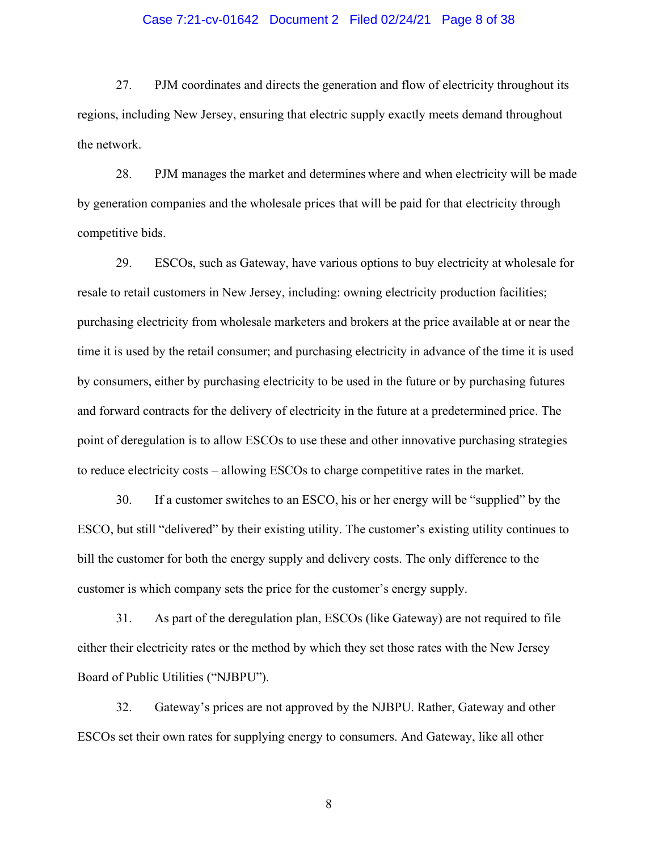### Case 7:21-cv-01642 Document 2 Filed 02/24/21 Page 8 of 38

27. PJM coordinates and directs the generation and flow of electricity throughout its regions, including New Jersey, ensuring that electric supply exactly meets demand throughout the network.

28. PJM manages the market and determines where and when electricity will be made by generation companies and the wholesale prices that will be paid for that electricity through competitive bids.

29. ESCOs, such as Gateway, have various options to buy electricity at wholesale for resale to retail customers in New Jersey, including: owning electricity production facilities; purchasing electricity from wholesale marketers and brokers at the price available at or near the time it is used by the retail consumer; and purchasing electricity in advance of the time it is used by consumers, either by purchasing electricity to be used in the future or by purchasing futures and forward contracts for the delivery of electricity in the future at a predetermined price. The point of deregulation is to allow ESCOs to use these and other innovative purchasing strategies to reduce electricity costs – allowing ESCOs to charge competitive rates in the market.

30. If a customer switches to an ESCO, his or her energy will be "supplied" by the ESCO, but still "delivered" by their existing utility. The customer's existing utility continues to bill the customer for both the energy supply and delivery costs. The only difference to the customer is which company sets the price for the customer's energy supply.

31. As part of the deregulation plan, ESCOs (like Gateway) are not required to file either their electricity rates or the method by which they set those rates with the New Jersey Board of Public Utilities ("NJBPU").

32. Gateway's prices are not approved by the NJBPU. Rather, Gateway and other ESCOs set their own rates for supplying energy to consumers. And Gateway, like all other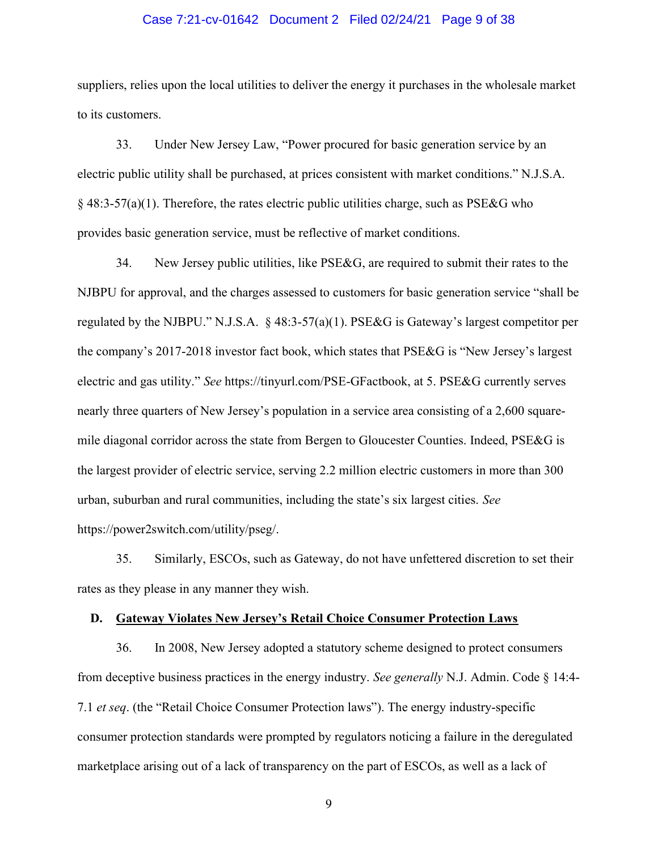### Case 7:21-cv-01642 Document 2 Filed 02/24/21 Page 9 of 38

suppliers, relies upon the local utilities to deliver the energy it purchases in the wholesale market to its customers.

33. Under New Jersey Law, "Power procured for basic generation service by an electric public utility shall be purchased, at prices consistent with market conditions." N.J.S.A. § 48:3-57(a)(1). Therefore, the rates electric public utilities charge, such as PSE&G who provides basic generation service, must be reflective of market conditions.

34. New Jersey public utilities, like  $PSE\&G$ , are required to submit their rates to the NJBPU for approval, and the charges assessed to customers for basic generation service "shall be regulated by the NJBPU." N.J.S.A. § 48:3-57(a)(1). PSE&G is Gateway's largest competitor per the company's 2017-2018 investor fact book, which states that PSE&G is "New Jersey's largest electric and gas utility." See https://tinyurl.com/PSE-GFactbook, at 5. PSE&G currently serves nearly three quarters of New Jersey's population in a service area consisting of a 2,600 squaremile diagonal corridor across the state from Bergen to Gloucester Counties. Indeed, PSE&G is the largest provider of electric service, serving 2.2 million electric customers in more than 300 urban, suburban and rural communities, including the state's six largest cities. See https://power2switch.com/utility/pseg/.

35. Similarly, ESCOs, such as Gateway, do not have unfettered discretion to set their rates as they please in any manner they wish.

### D. Gateway Violates New Jersey's Retail Choice Consumer Protection Laws

36. In 2008, New Jersey adopted a statutory scheme designed to protect consumers from deceptive business practices in the energy industry. See generally N.J. Admin. Code  $\S$  14:4-7.1 et seq. (the "Retail Choice Consumer Protection laws"). The energy industry-specific consumer protection standards were prompted by regulators noticing a failure in the deregulated marketplace arising out of a lack of transparency on the part of ESCOs, as well as a lack of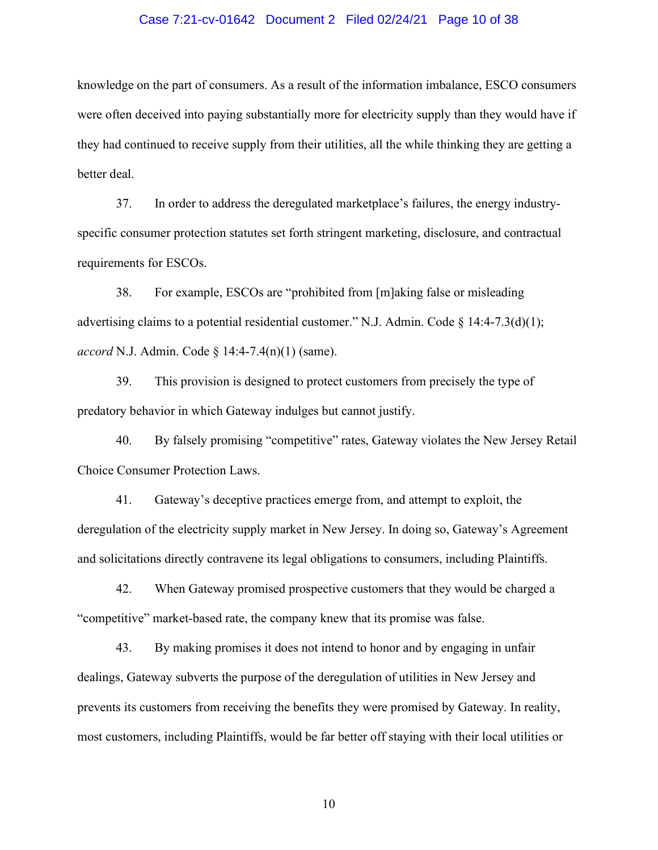### Case 7:21-cv-01642 Document 2 Filed 02/24/21 Page 10 of 38

knowledge on the part of consumers. As a result of the information imbalance, ESCO consumers were often deceived into paying substantially more for electricity supply than they would have if they had continued to receive supply from their utilities, all the while thinking they are getting a better deal.

37. In order to address the deregulated marketplace's failures, the energy industryspecific consumer protection statutes set forth stringent marketing, disclosure, and contractual requirements for ESCOs.

38. For example, ESCOs are "prohibited from [m]aking false or misleading advertising claims to a potential residential customer." N.J. Admin. Code  $\S$  14:4-7.3(d)(1); accord N.J. Admin. Code  $\S$  14:4-7.4(n)(1) (same).

39. This provision is designed to protect customers from precisely the type of predatory behavior in which Gateway indulges but cannot justify.

40. By falsely promising "competitive" rates, Gateway violates the New Jersey Retail Choice Consumer Protection Laws.

41. Gateway's deceptive practices emerge from, and attempt to exploit, the deregulation of the electricity supply market in New Jersey. In doing so, Gateway's Agreement and solicitations directly contravene its legal obligations to consumers, including Plaintiffs.

42. When Gateway promised prospective customers that they would be charged a "competitive" market-based rate, the company knew that its promise was false.

43. By making promises it does not intend to honor and by engaging in unfair dealings, Gateway subverts the purpose of the deregulation of utilities in New Jersey and prevents its customers from receiving the benefits they were promised by Gateway. In reality, most customers, including Plaintiffs, would be far better off staying with their local utilities or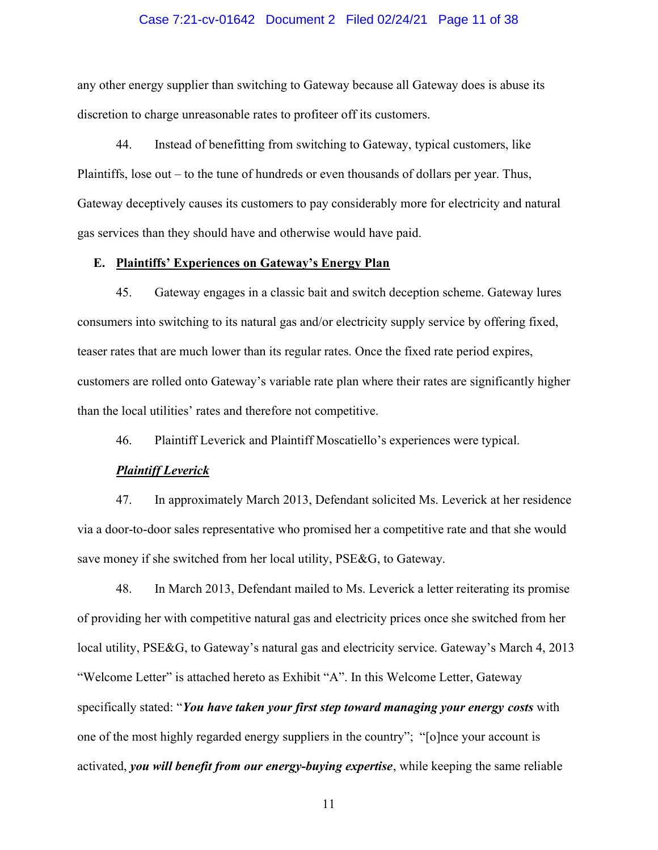### Case 7:21-cv-01642 Document 2 Filed 02/24/21 Page 11 of 38

any other energy supplier than switching to Gateway because all Gateway does is abuse its discretion to charge unreasonable rates to profiteer off its customers.

44. Instead of benefitting from switching to Gateway, typical customers, like Plaintiffs, lose out – to the tune of hundreds or even thousands of dollars per year. Thus, Gateway deceptively causes its customers to pay considerably more for electricity and natural gas services than they should have and otherwise would have paid.

### E. Plaintiffs' Experiences on Gateway's Energy Plan

45. Gateway engages in a classic bait and switch deception scheme. Gateway lures consumers into switching to its natural gas and/or electricity supply service by offering fixed, teaser rates that are much lower than its regular rates. Once the fixed rate period expires, customers are rolled onto Gateway's variable rate plan where their rates are significantly higher than the local utilities' rates and therefore not competitive.

46. Plaintiff Leverick and Plaintiff Moscatiello's experiences were typical.

### Plaintiff Leverick

47. In approximately March 2013, Defendant solicited Ms. Leverick at her residence via a door-to-door sales representative who promised her a competitive rate and that she would save money if she switched from her local utility, PSE&G, to Gateway.

48. In March 2013, Defendant mailed to Ms. Leverick a letter reiterating its promise of providing her with competitive natural gas and electricity prices once she switched from her local utility, PSE&G, to Gateway's natural gas and electricity service. Gateway's March 4, 2013 "Welcome Letter" is attached hereto as Exhibit "A". In this Welcome Letter, Gateway specifically stated: "You have taken your first step toward managing your energy costs with one of the most highly regarded energy suppliers in the country"; "[o]nce your account is activated, you will benefit from our energy-buying expertise, while keeping the same reliable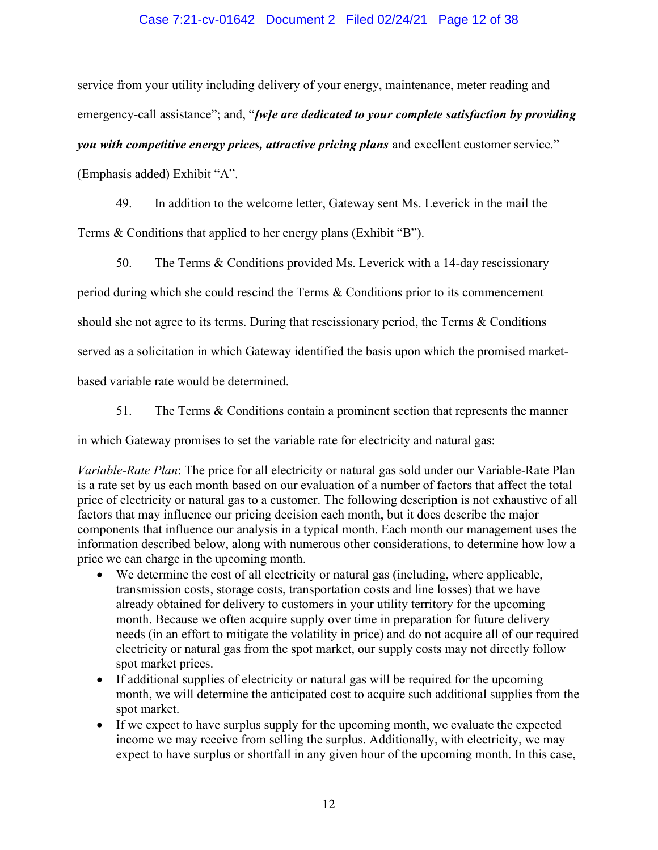## Case 7:21-cv-01642 Document 2 Filed 02/24/21 Page 12 of 38

service from your utility including delivery of your energy, maintenance, meter reading and emergency-call assistance"; and, "[w]e are dedicated to your complete satisfaction by providing you with competitive energy prices, attractive pricing plans and excellent customer service." (Emphasis added) Exhibit "A".

49. In addition to the welcome letter, Gateway sent Ms. Leverick in the mail the Terms & Conditions that applied to her energy plans (Exhibit "B").

50. The Terms & Conditions provided Ms. Leverick with a 14-day rescissionary

period during which she could rescind the Terms & Conditions prior to its commencement

should she not agree to its terms. During that rescissionary period, the Terms & Conditions

served as a solicitation in which Gateway identified the basis upon which the promised market-

based variable rate would be determined.

51. The Terms & Conditions contain a prominent section that represents the manner

in which Gateway promises to set the variable rate for electricity and natural gas:

Variable-Rate Plan: The price for all electricity or natural gas sold under our Variable-Rate Plan is a rate set by us each month based on our evaluation of a number of factors that affect the total price of electricity or natural gas to a customer. The following description is not exhaustive of all factors that may influence our pricing decision each month, but it does describe the major components that influence our analysis in a typical month. Each month our management uses the information described below, along with numerous other considerations, to determine how low a price we can charge in the upcoming month.

- We determine the cost of all electricity or natural gas (including, where applicable, transmission costs, storage costs, transportation costs and line losses) that we have already obtained for delivery to customers in your utility territory for the upcoming month. Because we often acquire supply over time in preparation for future delivery needs (in an effort to mitigate the volatility in price) and do not acquire all of our required electricity or natural gas from the spot market, our supply costs may not directly follow spot market prices.
- If additional supplies of electricity or natural gas will be required for the upcoming month, we will determine the anticipated cost to acquire such additional supplies from the spot market.
- If we expect to have surplus supply for the upcoming month, we evaluate the expected income we may receive from selling the surplus. Additionally, with electricity, we may expect to have surplus or shortfall in any given hour of the upcoming month. In this case,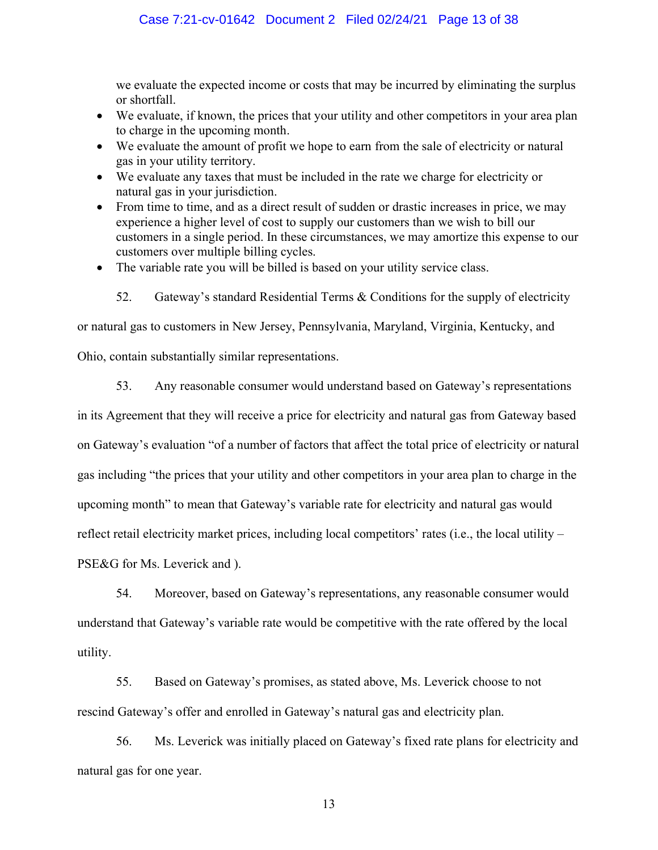we evaluate the expected income or costs that may be incurred by eliminating the surplus or shortfall.

- We evaluate, if known, the prices that your utility and other competitors in your area plan to charge in the upcoming month.
- We evaluate the amount of profit we hope to earn from the sale of electricity or natural gas in your utility territory.
- We evaluate any taxes that must be included in the rate we charge for electricity or natural gas in your jurisdiction.
- From time to time, and as a direct result of sudden or drastic increases in price, we may experience a higher level of cost to supply our customers than we wish to bill our customers in a single period. In these circumstances, we may amortize this expense to our customers over multiple billing cycles.
- The variable rate you will be billed is based on your utility service class.
	- 52. Gateway's standard Residential Terms & Conditions for the supply of electricity

or natural gas to customers in New Jersey, Pennsylvania, Maryland, Virginia, Kentucky, and

Ohio, contain substantially similar representations.

53. Any reasonable consumer would understand based on Gateway's representations in its Agreement that they will receive a price for electricity and natural gas from Gateway based on Gateway's evaluation "of a number of factors that affect the total price of electricity or natural gas including "the prices that your utility and other competitors in your area plan to charge in the upcoming month" to mean that Gateway's variable rate for electricity and natural gas would reflect retail electricity market prices, including local competitors' rates (i.e., the local utility – PSE&G for Ms. Leverick and ).

54. Moreover, based on Gateway's representations, any reasonable consumer would understand that Gateway's variable rate would be competitive with the rate offered by the local utility.

55. Based on Gateway's promises, as stated above, Ms. Leverick choose to not rescind Gateway's offer and enrolled in Gateway's natural gas and electricity plan.

56. Ms. Leverick was initially placed on Gateway's fixed rate plans for electricity and natural gas for one year.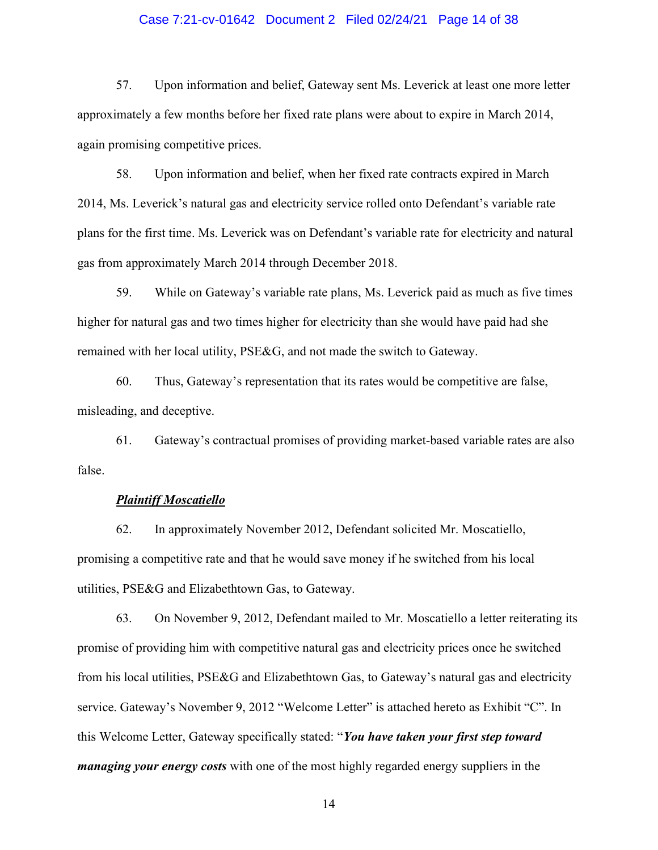### Case 7:21-cv-01642 Document 2 Filed 02/24/21 Page 14 of 38

57. Upon information and belief, Gateway sent Ms. Leverick at least one more letter approximately a few months before her fixed rate plans were about to expire in March 2014, again promising competitive prices.

58. Upon information and belief, when her fixed rate contracts expired in March 2014, Ms. Leverick's natural gas and electricity service rolled onto Defendant's variable rate plans for the first time. Ms. Leverick was on Defendant's variable rate for electricity and natural gas from approximately March 2014 through December 2018.

59. While on Gateway's variable rate plans, Ms. Leverick paid as much as five times higher for natural gas and two times higher for electricity than she would have paid had she remained with her local utility, PSE&G, and not made the switch to Gateway.

60. Thus, Gateway's representation that its rates would be competitive are false, misleading, and deceptive.

61. Gateway's contractual promises of providing market-based variable rates are also false.

### Plaintiff Moscatiello

62. In approximately November 2012, Defendant solicited Mr. Moscatiello, promising a competitive rate and that he would save money if he switched from his local utilities, PSE&G and Elizabethtown Gas, to Gateway.

63. On November 9, 2012, Defendant mailed to Mr. Moscatiello a letter reiterating its promise of providing him with competitive natural gas and electricity prices once he switched from his local utilities, PSE&G and Elizabethtown Gas, to Gateway's natural gas and electricity service. Gateway's November 9, 2012 "Welcome Letter" is attached hereto as Exhibit "C". In this Welcome Letter, Gateway specifically stated: "You have taken your first step toward *managing your energy costs* with one of the most highly regarded energy suppliers in the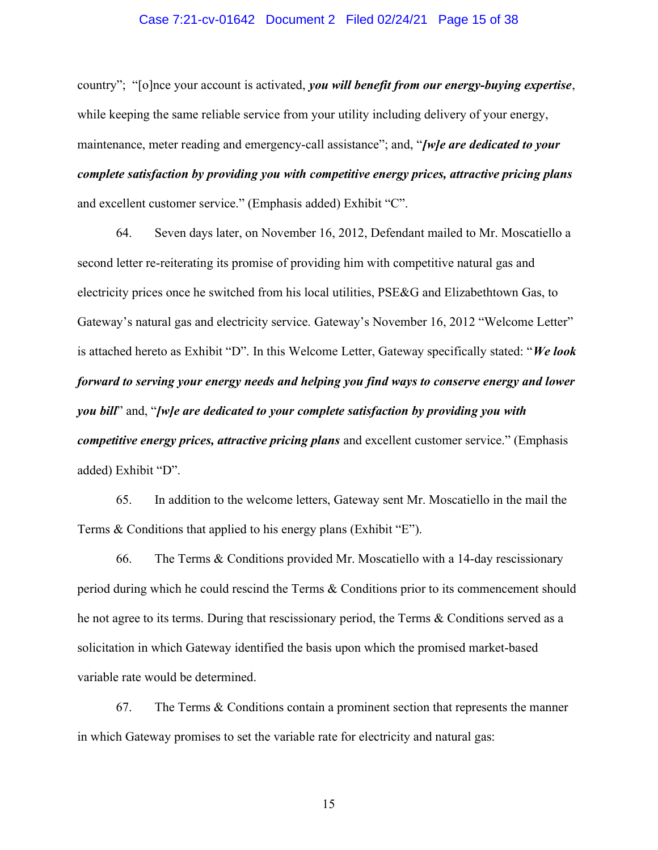### Case 7:21-cv-01642 Document 2 Filed 02/24/21 Page 15 of 38

country"; "[o]nce your account is activated, you will benefit from our energy-buying expertise, while keeping the same reliable service from your utility including delivery of your energy, maintenance, meter reading and emergency-call assistance"; and, "*[w]e are dedicated to your* complete satisfaction by providing you with competitive energy prices, attractive pricing plans and excellent customer service." (Emphasis added) Exhibit "C".

64. Seven days later, on November 16, 2012, Defendant mailed to Mr. Moscatiello a second letter re-reiterating its promise of providing him with competitive natural gas and electricity prices once he switched from his local utilities, PSE&G and Elizabethtown Gas, to Gateway's natural gas and electricity service. Gateway's November 16, 2012 "Welcome Letter" is attached hereto as Exhibit "D". In this Welcome Letter, Gateway specifically stated: "We look forward to serving your energy needs and helping you find ways to conserve energy and lower you bill" and, "[w]e are dedicated to your complete satisfaction by providing you with competitive energy prices, attractive pricing plans and excellent customer service." (Emphasis added) Exhibit "D".

65. In addition to the welcome letters, Gateway sent Mr. Moscatiello in the mail the Terms & Conditions that applied to his energy plans (Exhibit "E").

66. The Terms & Conditions provided Mr. Moscatiello with a 14-day rescissionary period during which he could rescind the Terms & Conditions prior to its commencement should he not agree to its terms. During that rescissionary period, the Terms & Conditions served as a solicitation in which Gateway identified the basis upon which the promised market-based variable rate would be determined.

67. The Terms & Conditions contain a prominent section that represents the manner in which Gateway promises to set the variable rate for electricity and natural gas: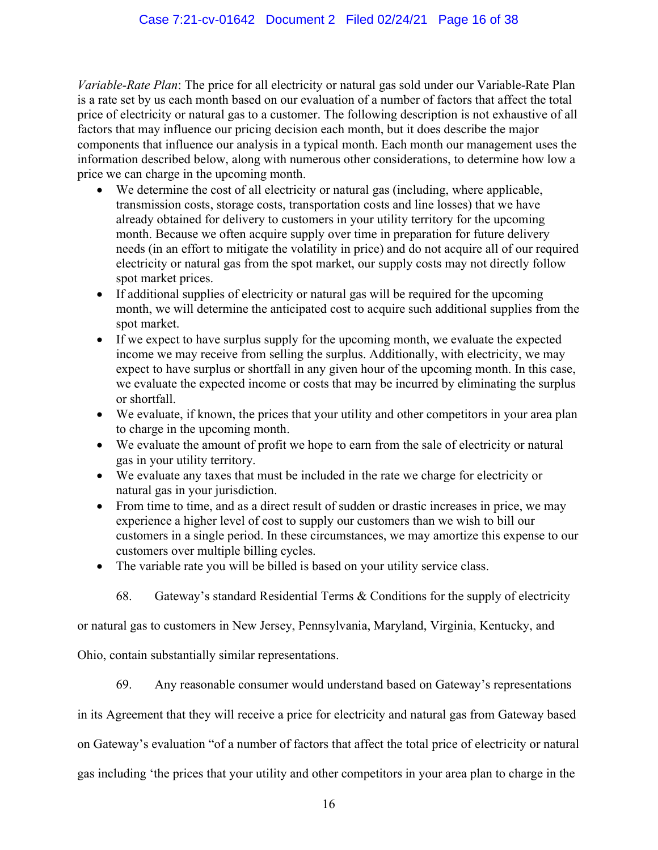Variable-Rate Plan: The price for all electricity or natural gas sold under our Variable-Rate Plan is a rate set by us each month based on our evaluation of a number of factors that affect the total price of electricity or natural gas to a customer. The following description is not exhaustive of all factors that may influence our pricing decision each month, but it does describe the major components that influence our analysis in a typical month. Each month our management uses the information described below, along with numerous other considerations, to determine how low a price we can charge in the upcoming month.

- We determine the cost of all electricity or natural gas (including, where applicable, transmission costs, storage costs, transportation costs and line losses) that we have already obtained for delivery to customers in your utility territory for the upcoming month. Because we often acquire supply over time in preparation for future delivery needs (in an effort to mitigate the volatility in price) and do not acquire all of our required electricity or natural gas from the spot market, our supply costs may not directly follow spot market prices.
- If additional supplies of electricity or natural gas will be required for the upcoming month, we will determine the anticipated cost to acquire such additional supplies from the spot market.
- If we expect to have surplus supply for the upcoming month, we evaluate the expected income we may receive from selling the surplus. Additionally, with electricity, we may expect to have surplus or shortfall in any given hour of the upcoming month. In this case, we evaluate the expected income or costs that may be incurred by eliminating the surplus or shortfall.
- We evaluate, if known, the prices that your utility and other competitors in your area plan to charge in the upcoming month.
- We evaluate the amount of profit we hope to earn from the sale of electricity or natural gas in your utility territory.
- We evaluate any taxes that must be included in the rate we charge for electricity or natural gas in your jurisdiction.
- From time to time, and as a direct result of sudden or drastic increases in price, we may experience a higher level of cost to supply our customers than we wish to bill our customers in a single period. In these circumstances, we may amortize this expense to our customers over multiple billing cycles.
- The variable rate you will be billed is based on your utility service class.

68. Gateway's standard Residential Terms & Conditions for the supply of electricity

or natural gas to customers in New Jersey, Pennsylvania, Maryland, Virginia, Kentucky, and

Ohio, contain substantially similar representations.

69. Any reasonable consumer would understand based on Gateway's representations

in its Agreement that they will receive a price for electricity and natural gas from Gateway based

on Gateway's evaluation "of a number of factors that affect the total price of electricity or natural

gas including 'the prices that your utility and other competitors in your area plan to charge in the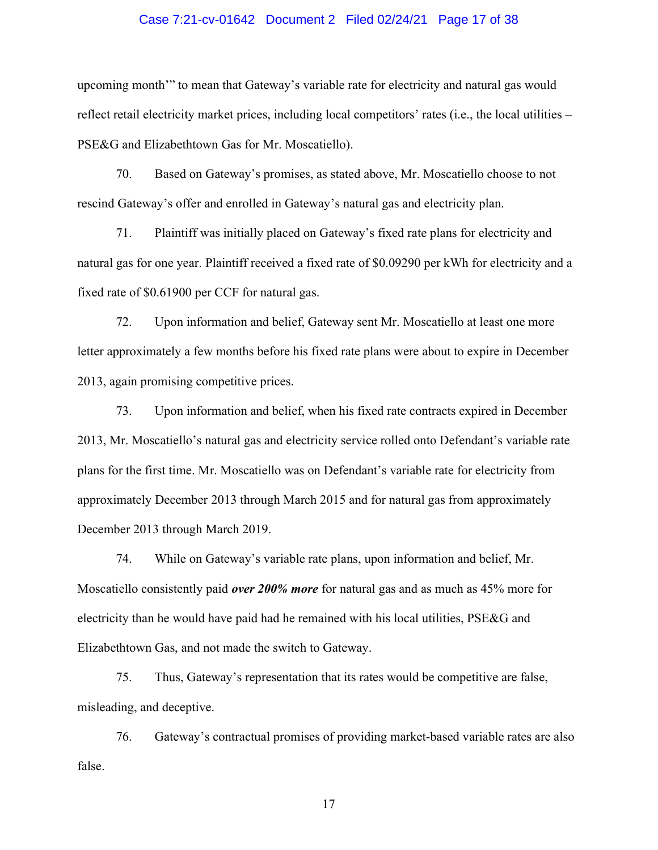### Case 7:21-cv-01642 Document 2 Filed 02/24/21 Page 17 of 38

upcoming month'" to mean that Gateway's variable rate for electricity and natural gas would reflect retail electricity market prices, including local competitors' rates (i.e., the local utilities – PSE&G and Elizabethtown Gas for Mr. Moscatiello).

70. Based on Gateway's promises, as stated above, Mr. Moscatiello choose to not rescind Gateway's offer and enrolled in Gateway's natural gas and electricity plan.

71. Plaintiff was initially placed on Gateway's fixed rate plans for electricity and natural gas for one year. Plaintiff received a fixed rate of \$0.09290 per kWh for electricity and a fixed rate of \$0.61900 per CCF for natural gas.

72. Upon information and belief, Gateway sent Mr. Moscatiello at least one more letter approximately a few months before his fixed rate plans were about to expire in December 2013, again promising competitive prices.

73. Upon information and belief, when his fixed rate contracts expired in December 2013, Mr. Moscatiello's natural gas and electricity service rolled onto Defendant's variable rate plans for the first time. Mr. Moscatiello was on Defendant's variable rate for electricity from approximately December 2013 through March 2015 and for natural gas from approximately December 2013 through March 2019.

74. While on Gateway's variable rate plans, upon information and belief, Mr. Moscatiello consistently paid *over 200% more* for natural gas and as much as 45% more for electricity than he would have paid had he remained with his local utilities, PSE&G and Elizabethtown Gas, and not made the switch to Gateway.

75. Thus, Gateway's representation that its rates would be competitive are false, misleading, and deceptive.

76. Gateway's contractual promises of providing market-based variable rates are also false.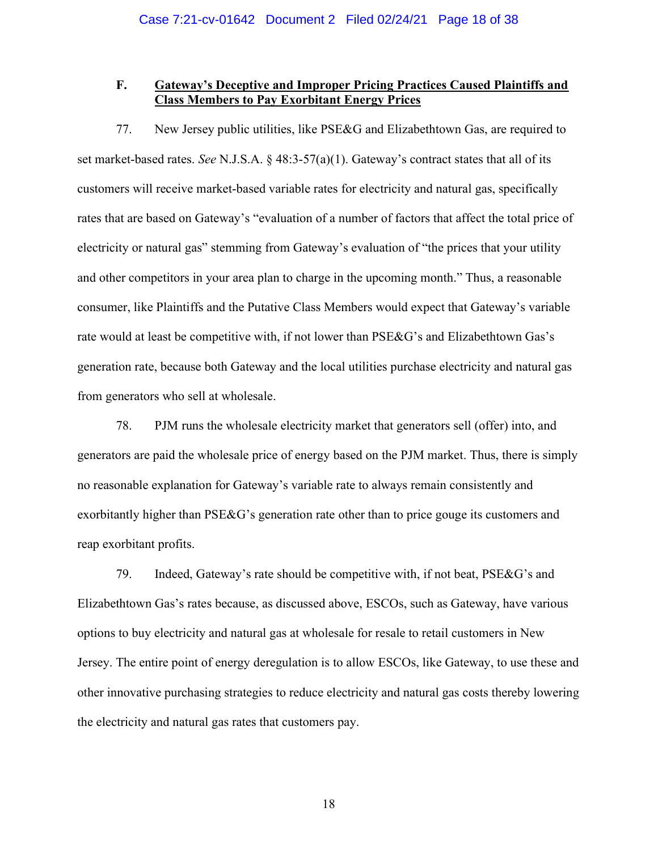## F. Gateway's Deceptive and Improper Pricing Practices Caused Plaintiffs and Class Members to Pay Exorbitant Energy Prices

77. New Jersey public utilities, like PSE&G and Elizabethtown Gas, are required to set market-based rates. See N.J.S.A. § 48:3-57(a)(1). Gateway's contract states that all of its customers will receive market-based variable rates for electricity and natural gas, specifically rates that are based on Gateway's "evaluation of a number of factors that affect the total price of electricity or natural gas" stemming from Gateway's evaluation of "the prices that your utility and other competitors in your area plan to charge in the upcoming month." Thus, a reasonable consumer, like Plaintiffs and the Putative Class Members would expect that Gateway's variable rate would at least be competitive with, if not lower than PSE&G's and Elizabethtown Gas's generation rate, because both Gateway and the local utilities purchase electricity and natural gas from generators who sell at wholesale.

78. PJM runs the wholesale electricity market that generators sell (offer) into, and generators are paid the wholesale price of energy based on the PJM market. Thus, there is simply no reasonable explanation for Gateway's variable rate to always remain consistently and exorbitantly higher than PSE&G's generation rate other than to price gouge its customers and reap exorbitant profits.

79. Indeed, Gateway's rate should be competitive with, if not beat, PSE&G's and Elizabethtown Gas's rates because, as discussed above, ESCOs, such as Gateway, have various options to buy electricity and natural gas at wholesale for resale to retail customers in New Jersey. The entire point of energy deregulation is to allow ESCOs, like Gateway, to use these and other innovative purchasing strategies to reduce electricity and natural gas costs thereby lowering the electricity and natural gas rates that customers pay.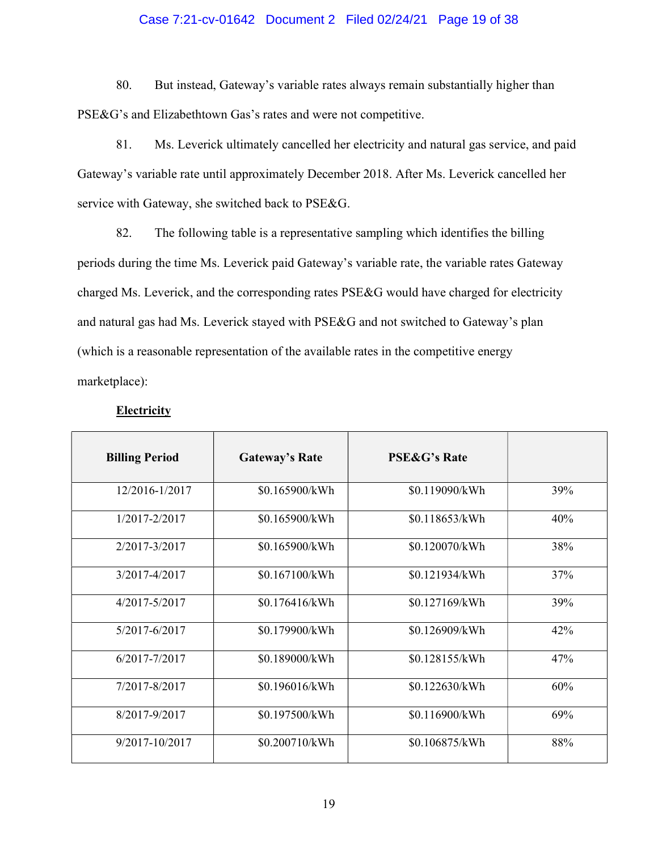### Case 7:21-cv-01642 Document 2 Filed 02/24/21 Page 19 of 38

80. But instead, Gateway's variable rates always remain substantially higher than PSE&G's and Elizabethtown Gas's rates and were not competitive.

81. Ms. Leverick ultimately cancelled her electricity and natural gas service, and paid Gateway's variable rate until approximately December 2018. After Ms. Leverick cancelled her service with Gateway, she switched back to PSE&G.

82. The following table is a representative sampling which identifies the billing periods during the time Ms. Leverick paid Gateway's variable rate, the variable rates Gateway charged Ms. Leverick, and the corresponding rates PSE&G would have charged for electricity and natural gas had Ms. Leverick stayed with PSE&G and not switched to Gateway's plan (which is a reasonable representation of the available rates in the competitive energy marketplace):

| <b>Billing Period</b> | <b>Gateway's Rate</b> | <b>PSE&amp;G's Rate</b> |     |
|-----------------------|-----------------------|-------------------------|-----|
| 12/2016-1/2017        | \$0.165900/kWh        | \$0.119090/kWh          | 39% |
| 1/2017-2/2017         | \$0.165900/kWh        | \$0.118653/kWh          | 40% |
| 2/2017-3/2017         | \$0.165900/kWh        | \$0.120070/kWh          | 38% |
| 3/2017-4/2017         | \$0.167100/kWh        | \$0.121934/kWh          | 37% |
| $4/2017 - 5/2017$     | \$0.176416/kWh        | \$0.127169/kWh          | 39% |
| 5/2017-6/2017         | \$0.179900/kWh        | \$0.126909/kWh          | 42% |
| 6/2017-7/2017         | \$0.189000/kWh        | \$0.128155/kWh          | 47% |
| 7/2017-8/2017         | \$0.196016/kWh        | \$0.122630/kWh          | 60% |
| 8/2017-9/2017         | \$0.197500/kWh        | \$0.116900/kWh          | 69% |
| 9/2017-10/2017        | \$0.200710/kWh        | \$0.106875/kWh          | 88% |

## **Electricity**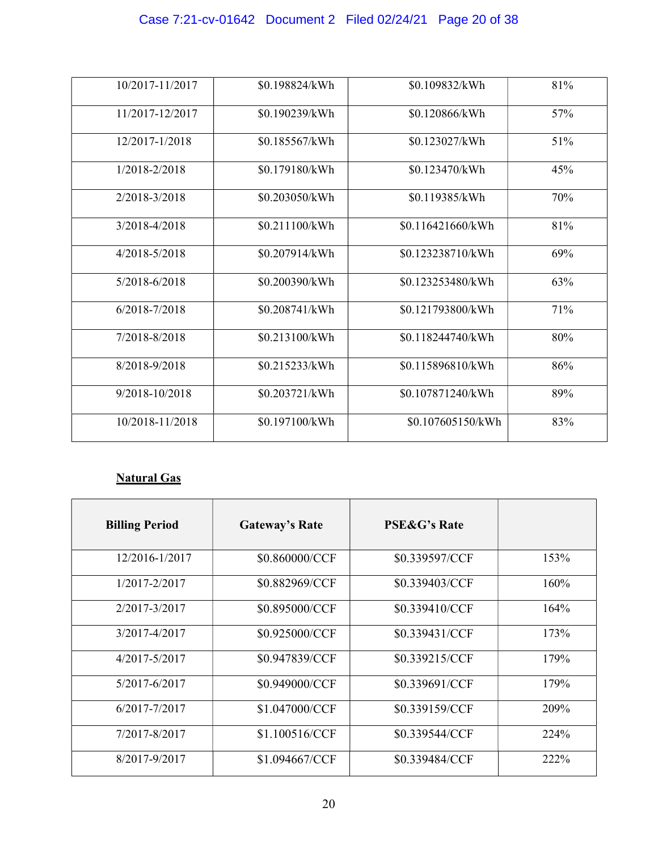# Case 7:21-cv-01642 Document 2 Filed 02/24/21 Page 20 of 38

| 10/2017-11/2017   | \$0.198824/kWh | \$0.109832/kWh    | 81% |
|-------------------|----------------|-------------------|-----|
| 11/2017-12/2017   | \$0.190239/kWh | \$0.120866/kWh    | 57% |
| 12/2017-1/2018    | \$0.185567/kWh | \$0.123027/kWh    | 51% |
| 1/2018-2/2018     | \$0.179180/kWh | \$0.123470/kWh    | 45% |
| 2/2018-3/2018     | \$0.203050/kWh | \$0.119385/kWh    | 70% |
| $3/2018 - 4/2018$ | \$0.211100/kWh | \$0.116421660/kWh | 81% |
| $4/2018 - 5/2018$ | \$0.207914/kWh | \$0.123238710/kWh | 69% |
| 5/2018-6/2018     | \$0.200390/kWh | \$0.123253480/kWh | 63% |
| $6/2018 - 7/2018$ | \$0.208741/kWh | \$0.121793800/kWh | 71% |
| 7/2018-8/2018     | \$0.213100/kWh | \$0.118244740/kWh | 80% |
| 8/2018-9/2018     | \$0.215233/kWh | \$0.115896810/kWh | 86% |
| 9/2018-10/2018    | \$0.203721/kWh | \$0.107871240/kWh | 89% |
| 10/2018-11/2018   | \$0.197100/kWh | \$0.107605150/kWh | 83% |

# Natural Gas

| <b>Billing Period</b> | <b>Gateway's Rate</b> | <b>PSE&amp;G's Rate</b> |      |
|-----------------------|-----------------------|-------------------------|------|
| 12/2016-1/2017        | \$0.860000/CCF        | \$0.339597/CCF          | 153% |
| 1/2017-2/2017         | \$0.882969/CCF        | \$0.339403/CCF          | 160% |
| 2/2017-3/2017         | \$0.895000/CCF        | \$0.339410/CCF          | 164% |
| 3/2017-4/2017         | \$0.925000/CCF        | \$0.339431/CCF          | 173% |
| 4/2017-5/2017         | \$0.947839/CCF        | \$0.339215/CCF          | 179% |
| 5/2017-6/2017         | \$0.949000/CCF        | \$0.339691/CCF          | 179% |
| 6/2017-7/2017         | \$1.047000/CCF        | \$0.339159/CCF          | 209% |
| 7/2017-8/2017         | \$1.100516/CCF        | \$0.339544/CCF          | 224% |
| 8/2017-9/2017         | \$1.094667/CCF        | \$0.339484/CCF          | 222% |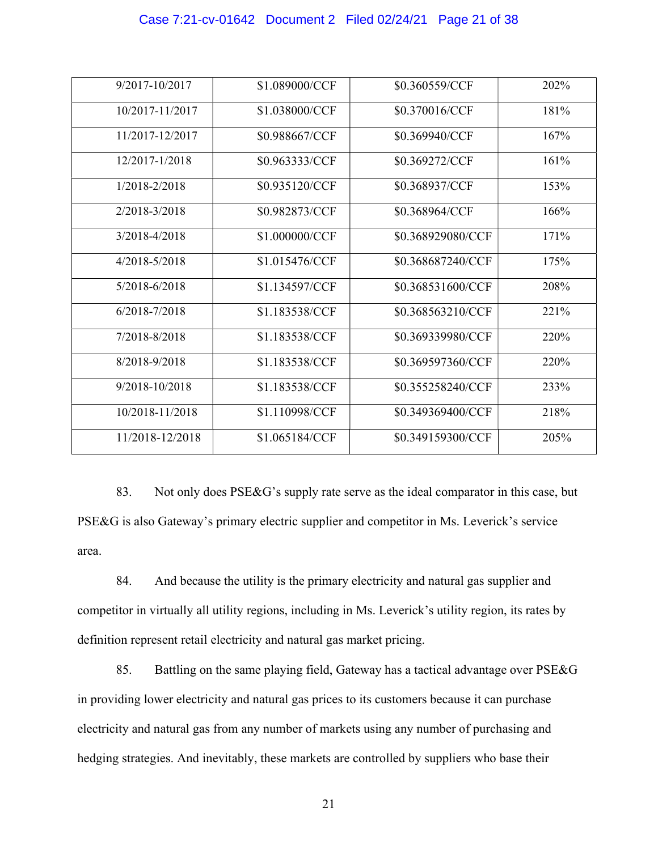### Case 7:21-cv-01642 Document 2 Filed 02/24/21 Page 21 of 38

| 9/2017-10/2017    | \$1.089000/CCF | \$0.360559/CCF    | 202% |
|-------------------|----------------|-------------------|------|
| 10/2017-11/2017   | \$1.038000/CCF | \$0.370016/CCF    | 181% |
| 11/2017-12/2017   | \$0.988667/CCF | \$0.369940/CCF    | 167% |
| 12/2017-1/2018    | \$0.963333/CCF | \$0.369272/CCF    | 161% |
| $1/2018 - 2/2018$ | \$0.935120/CCF | \$0.368937/CCF    | 153% |
| 2/2018-3/2018     | \$0.982873/CCF | \$0.368964/CCF    | 166% |
| 3/2018-4/2018     | \$1.000000/CCF | \$0.368929080/CCF | 171% |
| 4/2018-5/2018     | \$1.015476/CCF | \$0.368687240/CCF | 175% |
| $5/2018 - 6/2018$ | \$1.134597/CCF | \$0.368531600/CCF | 208% |
| $6/2018 - 7/2018$ | \$1.183538/CCF | \$0.368563210/CCF | 221% |
| 7/2018-8/2018     | \$1.183538/CCF | \$0.369339980/CCF | 220% |
| 8/2018-9/2018     | \$1.183538/CCF | \$0.369597360/CCF | 220% |
| 9/2018-10/2018    | \$1.183538/CCF | \$0.355258240/CCF | 233% |
| 10/2018-11/2018   | \$1.110998/CCF | \$0.349369400/CCF | 218% |
| 11/2018-12/2018   | \$1.065184/CCF | \$0.349159300/CCF | 205% |

83. Not only does PSE&G's supply rate serve as the ideal comparator in this case, but PSE&G is also Gateway's primary electric supplier and competitor in Ms. Leverick's service area.

84. And because the utility is the primary electricity and natural gas supplier and competitor in virtually all utility regions, including in Ms. Leverick's utility region, its rates by definition represent retail electricity and natural gas market pricing.

85. Battling on the same playing field, Gateway has a tactical advantage over PSE&G in providing lower electricity and natural gas prices to its customers because it can purchase electricity and natural gas from any number of markets using any number of purchasing and hedging strategies. And inevitably, these markets are controlled by suppliers who base their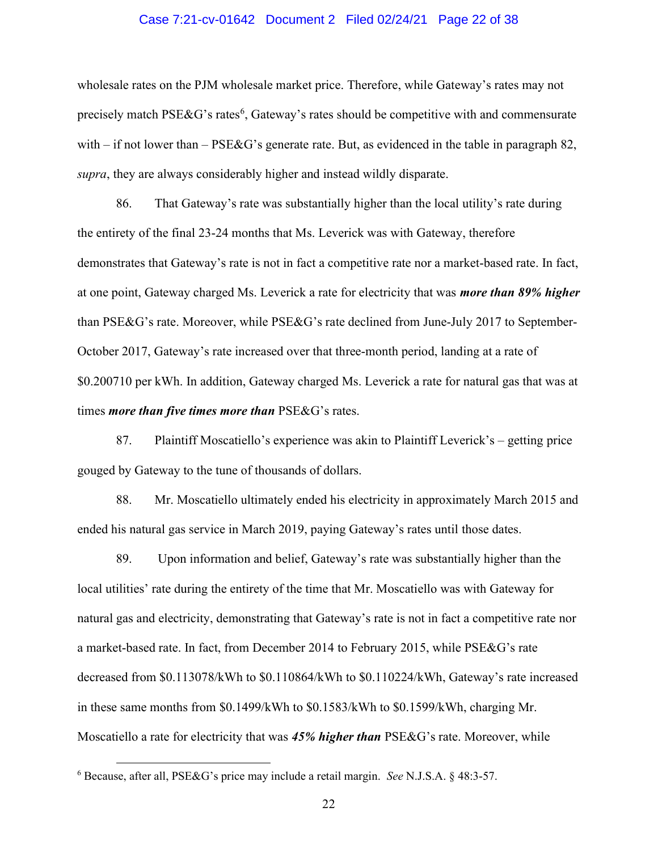### Case 7:21-cv-01642 Document 2 Filed 02/24/21 Page 22 of 38

wholesale rates on the PJM wholesale market price. Therefore, while Gateway's rates may not precisely match PSE&G's rates<sup>6</sup>, Gateway's rates should be competitive with and commensurate with – if not lower than – PSE&G's generate rate. But, as evidenced in the table in paragraph 82, supra, they are always considerably higher and instead wildly disparate.

86. That Gateway's rate was substantially higher than the local utility's rate during the entirety of the final 23-24 months that Ms. Leverick was with Gateway, therefore demonstrates that Gateway's rate is not in fact a competitive rate nor a market-based rate. In fact, at one point, Gateway charged Ms. Leverick a rate for electricity that was *more than 89% higher* than PSE&G's rate. Moreover, while PSE&G's rate declined from June-July 2017 to September-October 2017, Gateway's rate increased over that three-month period, landing at a rate of \$0.200710 per kWh. In addition, Gateway charged Ms. Leverick a rate for natural gas that was at times *more than five times more than* PSE&G's rates.

87. Plaintiff Moscatiello's experience was akin to Plaintiff Leverick's – getting price gouged by Gateway to the tune of thousands of dollars.

88. Mr. Moscatiello ultimately ended his electricity in approximately March 2015 and ended his natural gas service in March 2019, paying Gateway's rates until those dates.

89. Upon information and belief, Gateway's rate was substantially higher than the local utilities' rate during the entirety of the time that Mr. Moscatiello was with Gateway for natural gas and electricity, demonstrating that Gateway's rate is not in fact a competitive rate nor a market-based rate. In fact, from December 2014 to February 2015, while PSE&G's rate decreased from \$0.113078/kWh to \$0.110864/kWh to \$0.110224/kWh, Gateway's rate increased in these same months from \$0.1499/kWh to \$0.1583/kWh to \$0.1599/kWh, charging Mr. Moscatiello a rate for electricity that was 45% higher than PSE&G's rate. Moreover, while

 $6$  Because, after all, PSE&G's price may include a retail margin. See N.J.S.A. § 48:3-57.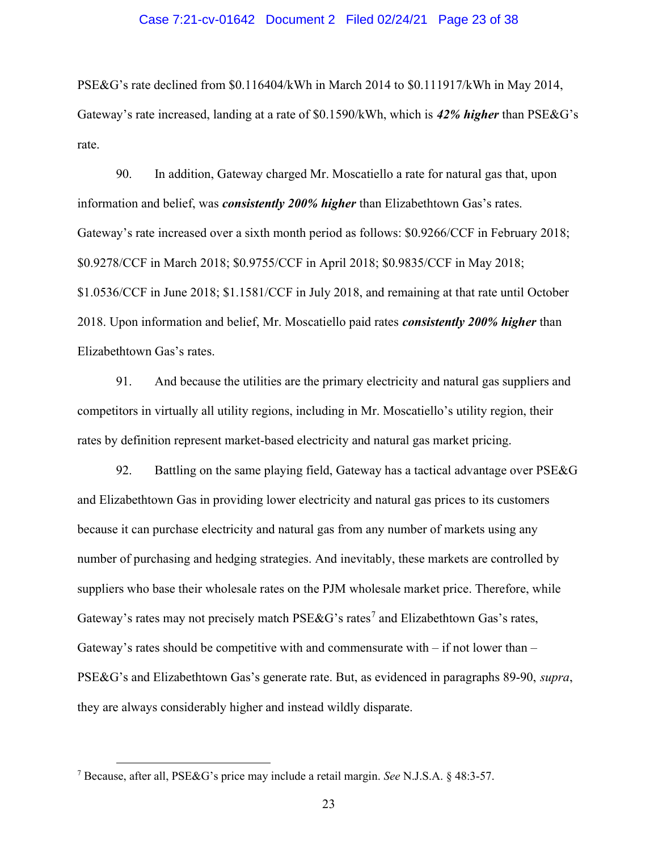### Case 7:21-cv-01642 Document 2 Filed 02/24/21 Page 23 of 38

PSE&G's rate declined from \$0.116404/kWh in March 2014 to \$0.111917/kWh in May 2014, Gateway's rate increased, landing at a rate of \$0.1590/kWh, which is 42% higher than PSE&G's rate.

90. In addition, Gateway charged Mr. Moscatiello a rate for natural gas that, upon information and belief, was *consistently 200% higher* than Elizabethtown Gas's rates. Gateway's rate increased over a sixth month period as follows: \$0.9266/CCF in February 2018; \$0.9278/CCF in March 2018; \$0.9755/CCF in April 2018; \$0.9835/CCF in May 2018; \$1.0536/CCF in June 2018; \$1.1581/CCF in July 2018, and remaining at that rate until October 2018. Upon information and belief, Mr. Moscatiello paid rates *consistently 200% higher* than Elizabethtown Gas's rates.

91. And because the utilities are the primary electricity and natural gas suppliers and competitors in virtually all utility regions, including in Mr. Moscatiello's utility region, their rates by definition represent market-based electricity and natural gas market pricing.

92. Battling on the same playing field, Gateway has a tactical advantage over PSE&G and Elizabethtown Gas in providing lower electricity and natural gas prices to its customers because it can purchase electricity and natural gas from any number of markets using any number of purchasing and hedging strategies. And inevitably, these markets are controlled by suppliers who base their wholesale rates on the PJM wholesale market price. Therefore, while Gateway's rates may not precisely match PSE&G's rates<sup>7</sup> and Elizabethtown Gas's rates, Gateway's rates should be competitive with and commensurate with  $-$  if not lower than  $-$ PSE&G's and Elizabethtown Gas's generate rate. But, as evidenced in paragraphs 89-90, supra, they are always considerably higher and instead wildly disparate.

<sup>&</sup>lt;sup>7</sup> Because, after all, PSE&G's price may include a retail margin. See N.J.S.A. § 48:3-57.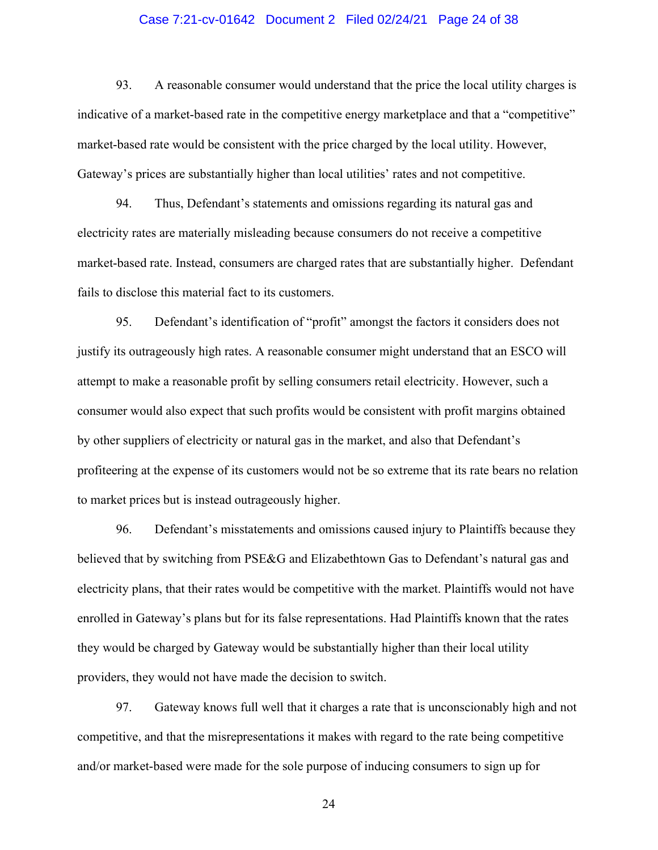### Case 7:21-cv-01642 Document 2 Filed 02/24/21 Page 24 of 38

93. A reasonable consumer would understand that the price the local utility charges is indicative of a market-based rate in the competitive energy marketplace and that a "competitive" market-based rate would be consistent with the price charged by the local utility. However, Gateway's prices are substantially higher than local utilities' rates and not competitive.

94. Thus, Defendant's statements and omissions regarding its natural gas and electricity rates are materially misleading because consumers do not receive a competitive market-based rate. Instead, consumers are charged rates that are substantially higher. Defendant fails to disclose this material fact to its customers.

95. Defendant's identification of "profit" amongst the factors it considers does not justify its outrageously high rates. A reasonable consumer might understand that an ESCO will attempt to make a reasonable profit by selling consumers retail electricity. However, such a consumer would also expect that such profits would be consistent with profit margins obtained by other suppliers of electricity or natural gas in the market, and also that Defendant's profiteering at the expense of its customers would not be so extreme that its rate bears no relation to market prices but is instead outrageously higher.

96. Defendant's misstatements and omissions caused injury to Plaintiffs because they believed that by switching from PSE&G and Elizabethtown Gas to Defendant's natural gas and electricity plans, that their rates would be competitive with the market. Plaintiffs would not have enrolled in Gateway's plans but for its false representations. Had Plaintiffs known that the rates they would be charged by Gateway would be substantially higher than their local utility providers, they would not have made the decision to switch.

97. Gateway knows full well that it charges a rate that is unconscionably high and not competitive, and that the misrepresentations it makes with regard to the rate being competitive and/or market-based were made for the sole purpose of inducing consumers to sign up for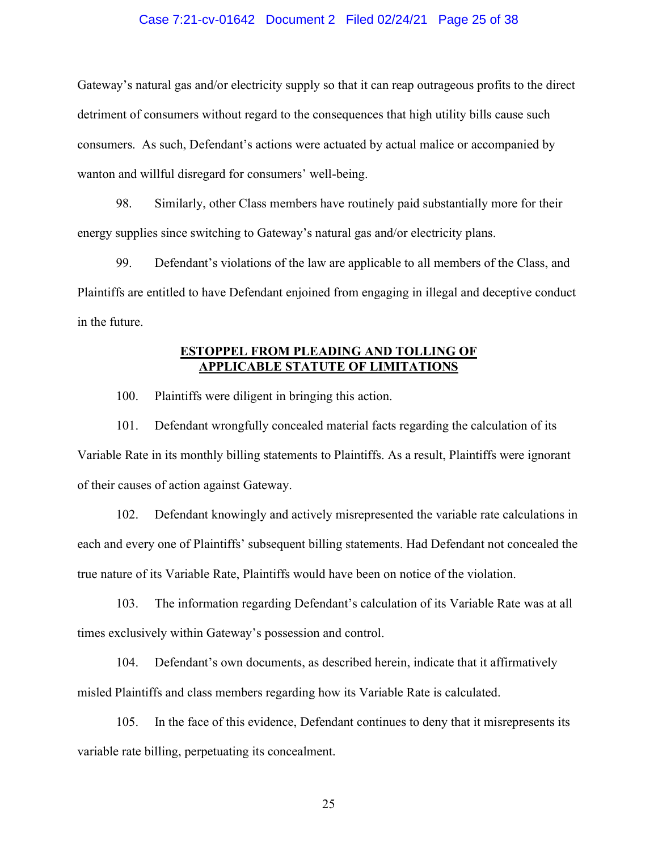### Case 7:21-cv-01642 Document 2 Filed 02/24/21 Page 25 of 38

Gateway's natural gas and/or electricity supply so that it can reap outrageous profits to the direct detriment of consumers without regard to the consequences that high utility bills cause such consumers. As such, Defendant's actions were actuated by actual malice or accompanied by wanton and willful disregard for consumers' well-being.

98. Similarly, other Class members have routinely paid substantially more for their energy supplies since switching to Gateway's natural gas and/or electricity plans.

99. Defendant's violations of the law are applicable to all members of the Class, and Plaintiffs are entitled to have Defendant enjoined from engaging in illegal and deceptive conduct in the future.

## ESTOPPEL FROM PLEADING AND TOLLING OF APPLICABLE STATUTE OF LIMITATIONS

100. Plaintiffs were diligent in bringing this action.

101. Defendant wrongfully concealed material facts regarding the calculation of its Variable Rate in its monthly billing statements to Plaintiffs. As a result, Plaintiffs were ignorant of their causes of action against Gateway.

102. Defendant knowingly and actively misrepresented the variable rate calculations in each and every one of Plaintiffs' subsequent billing statements. Had Defendant not concealed the true nature of its Variable Rate, Plaintiffs would have been on notice of the violation.

103. The information regarding Defendant's calculation of its Variable Rate was at all times exclusively within Gateway's possession and control.

104. Defendant's own documents, as described herein, indicate that it affirmatively misled Plaintiffs and class members regarding how its Variable Rate is calculated.

105. In the face of this evidence, Defendant continues to deny that it misrepresents its variable rate billing, perpetuating its concealment.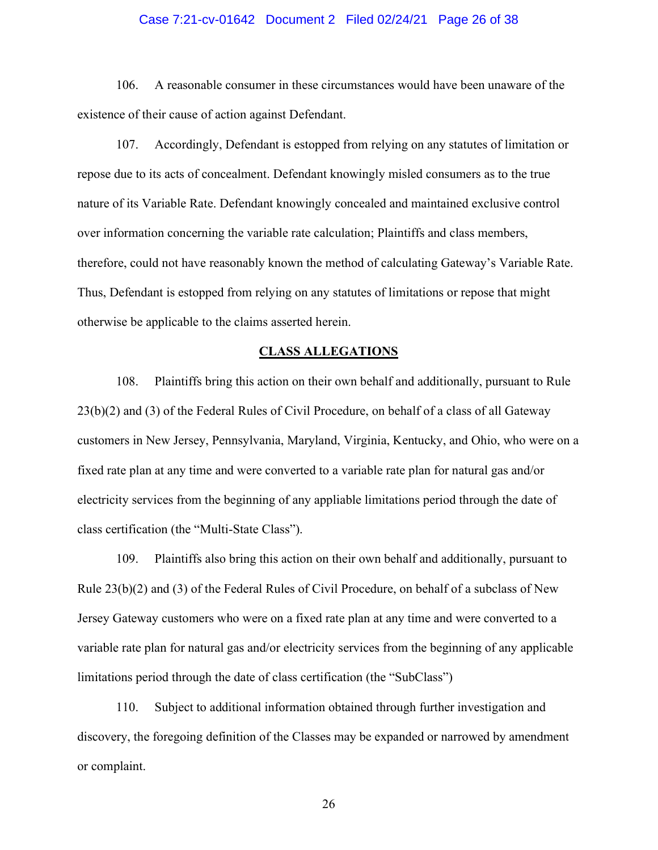### Case 7:21-cv-01642 Document 2 Filed 02/24/21 Page 26 of 38

106. A reasonable consumer in these circumstances would have been unaware of the existence of their cause of action against Defendant.

107. Accordingly, Defendant is estopped from relying on any statutes of limitation or repose due to its acts of concealment. Defendant knowingly misled consumers as to the true nature of its Variable Rate. Defendant knowingly concealed and maintained exclusive control over information concerning the variable rate calculation; Plaintiffs and class members, therefore, could not have reasonably known the method of calculating Gateway's Variable Rate. Thus, Defendant is estopped from relying on any statutes of limitations or repose that might otherwise be applicable to the claims asserted herein.

### CLASS ALLEGATIONS

108. Plaintiffs bring this action on their own behalf and additionally, pursuant to Rule 23(b)(2) and (3) of the Federal Rules of Civil Procedure, on behalf of a class of all Gateway customers in New Jersey, Pennsylvania, Maryland, Virginia, Kentucky, and Ohio, who were on a fixed rate plan at any time and were converted to a variable rate plan for natural gas and/or electricity services from the beginning of any appliable limitations period through the date of class certification (the "Multi-State Class").

109. Plaintiffs also bring this action on their own behalf and additionally, pursuant to Rule 23(b)(2) and (3) of the Federal Rules of Civil Procedure, on behalf of a subclass of New Jersey Gateway customers who were on a fixed rate plan at any time and were converted to a variable rate plan for natural gas and/or electricity services from the beginning of any applicable limitations period through the date of class certification (the "SubClass")

110. Subject to additional information obtained through further investigation and discovery, the foregoing definition of the Classes may be expanded or narrowed by amendment or complaint.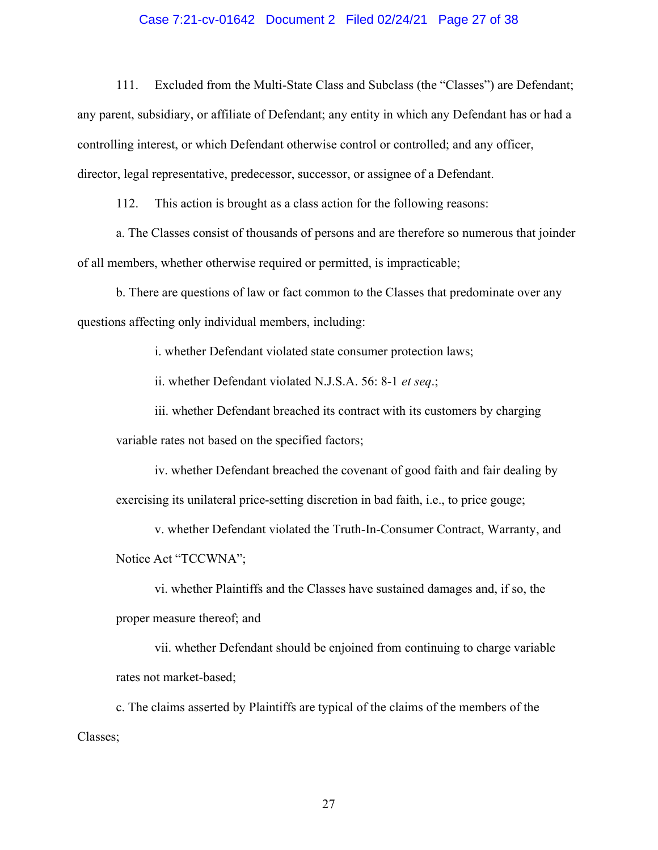### Case 7:21-cv-01642 Document 2 Filed 02/24/21 Page 27 of 38

111. Excluded from the Multi-State Class and Subclass (the "Classes") are Defendant; any parent, subsidiary, or affiliate of Defendant; any entity in which any Defendant has or had a controlling interest, or which Defendant otherwise control or controlled; and any officer, director, legal representative, predecessor, successor, or assignee of a Defendant.

112. This action is brought as a class action for the following reasons:

a. The Classes consist of thousands of persons and are therefore so numerous that joinder of all members, whether otherwise required or permitted, is impracticable;

b. There are questions of law or fact common to the Classes that predominate over any questions affecting only individual members, including:

i. whether Defendant violated state consumer protection laws;

ii. whether Defendant violated N.J.S.A. 56: 8-1 et seq.;

iii. whether Defendant breached its contract with its customers by charging variable rates not based on the specified factors;

iv. whether Defendant breached the covenant of good faith and fair dealing by exercising its unilateral price-setting discretion in bad faith, i.e., to price gouge;

v. whether Defendant violated the Truth-In-Consumer Contract, Warranty, and Notice Act "TCCWNA";

vi. whether Plaintiffs and the Classes have sustained damages and, if so, the proper measure thereof; and

vii. whether Defendant should be enjoined from continuing to charge variable rates not market-based;

c. The claims asserted by Plaintiffs are typical of the claims of the members of the Classes;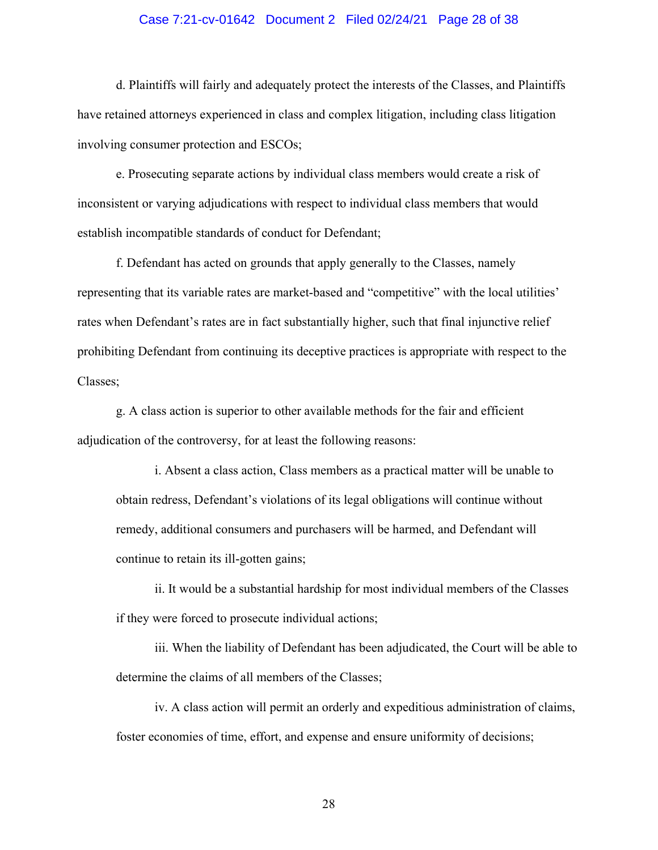### Case 7:21-cv-01642 Document 2 Filed 02/24/21 Page 28 of 38

d. Plaintiffs will fairly and adequately protect the interests of the Classes, and Plaintiffs have retained attorneys experienced in class and complex litigation, including class litigation involving consumer protection and ESCOs;

e. Prosecuting separate actions by individual class members would create a risk of inconsistent or varying adjudications with respect to individual class members that would establish incompatible standards of conduct for Defendant;

f. Defendant has acted on grounds that apply generally to the Classes, namely representing that its variable rates are market-based and "competitive" with the local utilities' rates when Defendant's rates are in fact substantially higher, such that final injunctive relief prohibiting Defendant from continuing its deceptive practices is appropriate with respect to the Classes;

g. A class action is superior to other available methods for the fair and efficient adjudication of the controversy, for at least the following reasons:

i. Absent a class action, Class members as a practical matter will be unable to obtain redress, Defendant's violations of its legal obligations will continue without remedy, additional consumers and purchasers will be harmed, and Defendant will continue to retain its ill-gotten gains;

ii. It would be a substantial hardship for most individual members of the Classes if they were forced to prosecute individual actions;

iii. When the liability of Defendant has been adjudicated, the Court will be able to determine the claims of all members of the Classes;

iv. A class action will permit an orderly and expeditious administration of claims, foster economies of time, effort, and expense and ensure uniformity of decisions;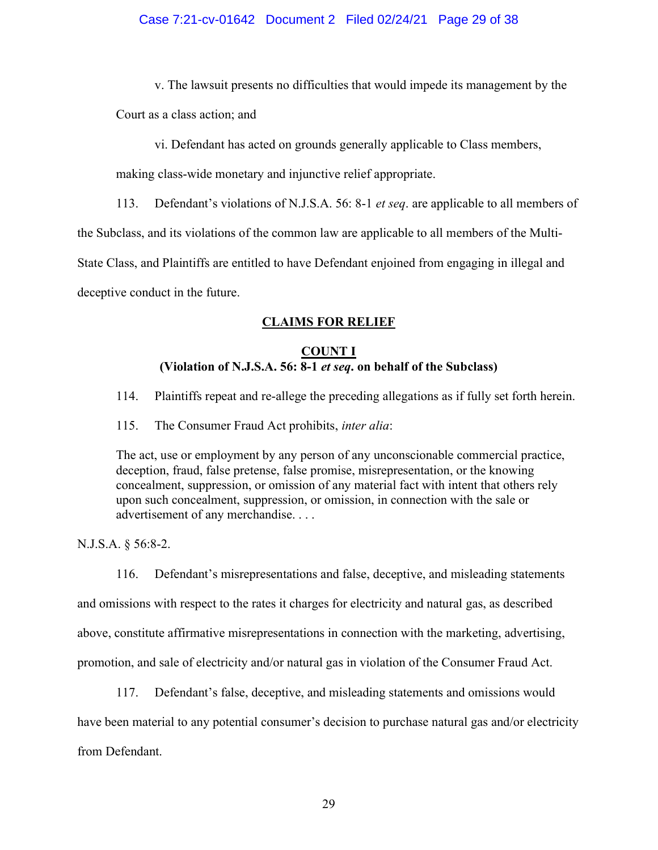v. The lawsuit presents no difficulties that would impede its management by the

Court as a class action; and

vi. Defendant has acted on grounds generally applicable to Class members,

making class-wide monetary and injunctive relief appropriate.

113. Defendant's violations of N.J.S.A. 56: 8-1 *et seq.* are applicable to all members of

the Subclass, and its violations of the common law are applicable to all members of the Multi-

State Class, and Plaintiffs are entitled to have Defendant enjoined from engaging in illegal and

deceptive conduct in the future.

# CLAIMS FOR RELIEF

# COUNT I (Violation of N.J.S.A. 56: 8-1 et seq. on behalf of the Subclass)

114. Plaintiffs repeat and re-allege the preceding allegations as if fully set forth herein.

115. The Consumer Fraud Act prohibits, inter alia:

The act, use or employment by any person of any unconscionable commercial practice, deception, fraud, false pretense, false promise, misrepresentation, or the knowing concealment, suppression, or omission of any material fact with intent that others rely upon such concealment, suppression, or omission, in connection with the sale or advertisement of any merchandise. . . .

N.J.S.A. § 56:8-2.

116. Defendant's misrepresentations and false, deceptive, and misleading statements

and omissions with respect to the rates it charges for electricity and natural gas, as described

above, constitute affirmative misrepresentations in connection with the marketing, advertising,

promotion, and sale of electricity and/or natural gas in violation of the Consumer Fraud Act.

117. Defendant's false, deceptive, and misleading statements and omissions would

have been material to any potential consumer's decision to purchase natural gas and/or electricity

from Defendant.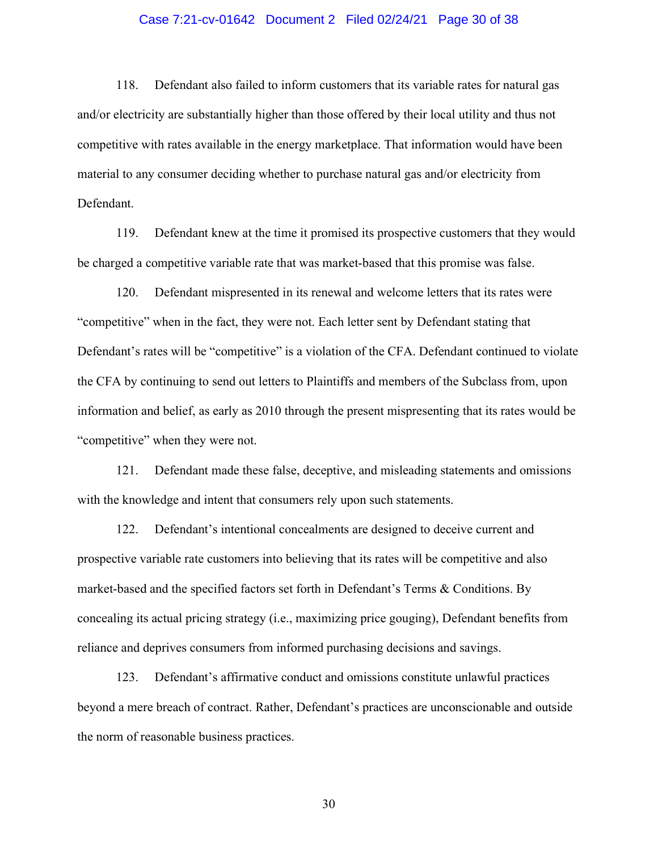### Case 7:21-cv-01642 Document 2 Filed 02/24/21 Page 30 of 38

118. Defendant also failed to inform customers that its variable rates for natural gas and/or electricity are substantially higher than those offered by their local utility and thus not competitive with rates available in the energy marketplace. That information would have been material to any consumer deciding whether to purchase natural gas and/or electricity from Defendant.

119. Defendant knew at the time it promised its prospective customers that they would be charged a competitive variable rate that was market-based that this promise was false.

120. Defendant mispresented in its renewal and welcome letters that its rates were "competitive" when in the fact, they were not. Each letter sent by Defendant stating that Defendant's rates will be "competitive" is a violation of the CFA. Defendant continued to violate the CFA by continuing to send out letters to Plaintiffs and members of the Subclass from, upon information and belief, as early as 2010 through the present mispresenting that its rates would be "competitive" when they were not.

121. Defendant made these false, deceptive, and misleading statements and omissions with the knowledge and intent that consumers rely upon such statements.

122. Defendant's intentional concealments are designed to deceive current and prospective variable rate customers into believing that its rates will be competitive and also market-based and the specified factors set forth in Defendant's Terms & Conditions. By concealing its actual pricing strategy (i.e., maximizing price gouging), Defendant benefits from reliance and deprives consumers from informed purchasing decisions and savings.

123. Defendant's affirmative conduct and omissions constitute unlawful practices beyond a mere breach of contract. Rather, Defendant's practices are unconscionable and outside the norm of reasonable business practices.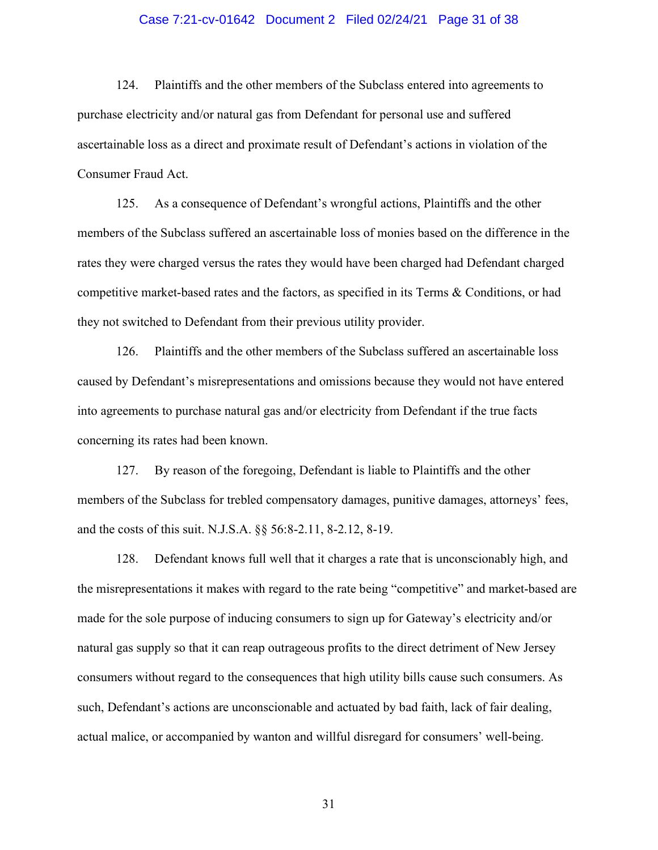### Case 7:21-cv-01642 Document 2 Filed 02/24/21 Page 31 of 38

124. Plaintiffs and the other members of the Subclass entered into agreements to purchase electricity and/or natural gas from Defendant for personal use and suffered ascertainable loss as a direct and proximate result of Defendant's actions in violation of the Consumer Fraud Act.

125. As a consequence of Defendant's wrongful actions, Plaintiffs and the other members of the Subclass suffered an ascertainable loss of monies based on the difference in the rates they were charged versus the rates they would have been charged had Defendant charged competitive market-based rates and the factors, as specified in its Terms & Conditions, or had they not switched to Defendant from their previous utility provider.

126. Plaintiffs and the other members of the Subclass suffered an ascertainable loss caused by Defendant's misrepresentations and omissions because they would not have entered into agreements to purchase natural gas and/or electricity from Defendant if the true facts concerning its rates had been known.

127. By reason of the foregoing, Defendant is liable to Plaintiffs and the other members of the Subclass for trebled compensatory damages, punitive damages, attorneys' fees, and the costs of this suit. N.J.S.A. §§ 56:8-2.11, 8-2.12, 8-19.

128. Defendant knows full well that it charges a rate that is unconscionably high, and the misrepresentations it makes with regard to the rate being "competitive" and market-based are made for the sole purpose of inducing consumers to sign up for Gateway's electricity and/or natural gas supply so that it can reap outrageous profits to the direct detriment of New Jersey consumers without regard to the consequences that high utility bills cause such consumers. As such, Defendant's actions are unconscionable and actuated by bad faith, lack of fair dealing, actual malice, or accompanied by wanton and willful disregard for consumers' well-being.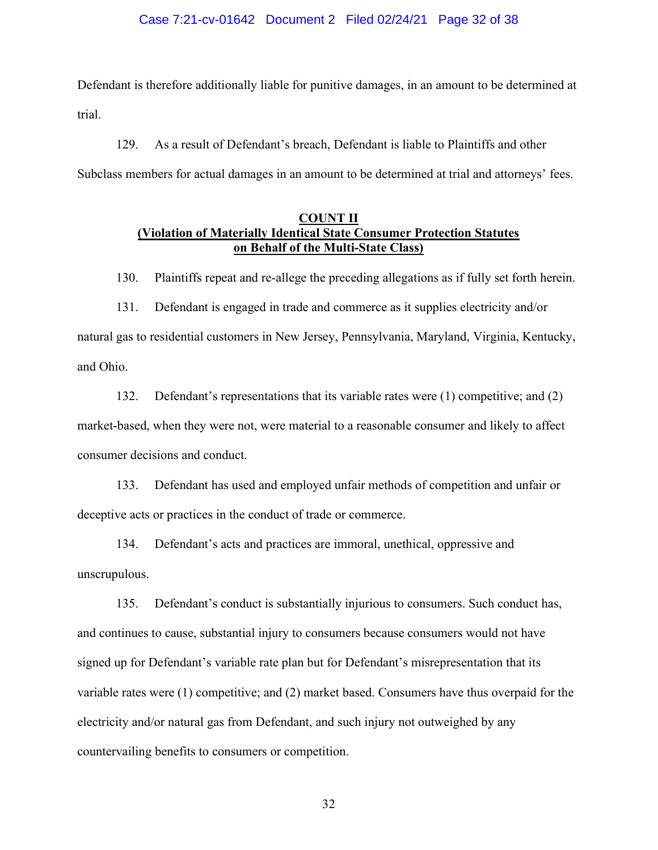### Case 7:21-cv-01642 Document 2 Filed 02/24/21 Page 32 of 38

Defendant is therefore additionally liable for punitive damages, in an amount to be determined at trial.

129. As a result of Defendant's breach, Defendant is liable to Plaintiffs and other Subclass members for actual damages in an amount to be determined at trial and attorneys' fees.

## COUNT II (Violation of Materially Identical State Consumer Protection Statutes on Behalf of the Multi-State Class)

130. Plaintiffs repeat and re-allege the preceding allegations as if fully set forth herein.

131. Defendant is engaged in trade and commerce as it supplies electricity and/or natural gas to residential customers in New Jersey, Pennsylvania, Maryland, Virginia, Kentucky, and Ohio.

132. Defendant's representations that its variable rates were (1) competitive; and (2) market-based, when they were not, were material to a reasonable consumer and likely to affect consumer decisions and conduct.

133. Defendant has used and employed unfair methods of competition and unfair or deceptive acts or practices in the conduct of trade or commerce.

134. Defendant's acts and practices are immoral, unethical, oppressive and unscrupulous.

135. Defendant's conduct is substantially injurious to consumers. Such conduct has, and continues to cause, substantial injury to consumers because consumers would not have signed up for Defendant's variable rate plan but for Defendant's misrepresentation that its variable rates were (1) competitive; and (2) market based. Consumers have thus overpaid for the electricity and/or natural gas from Defendant, and such injury not outweighed by any countervailing benefits to consumers or competition.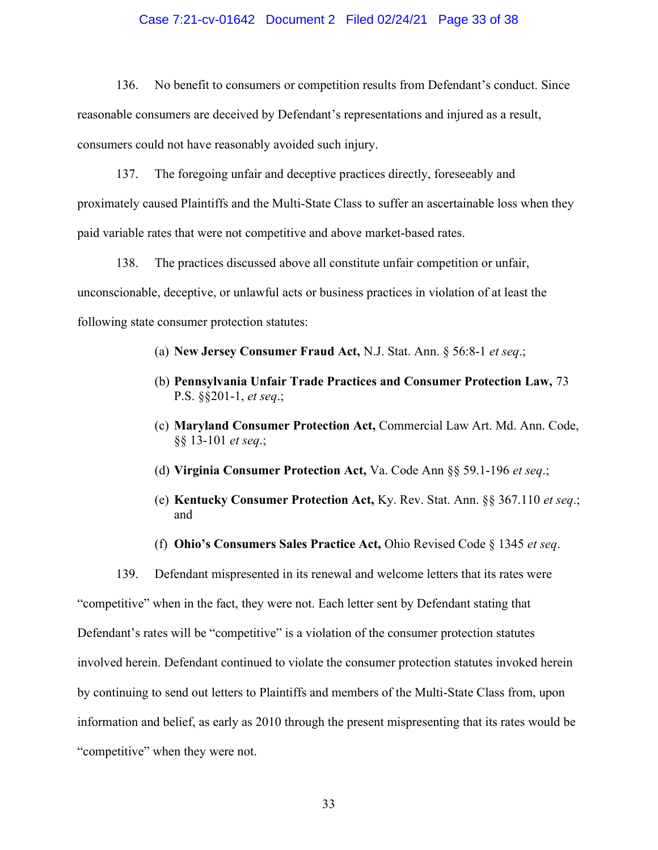### Case 7:21-cv-01642 Document 2 Filed 02/24/21 Page 33 of 38

136. No benefit to consumers or competition results from Defendant's conduct. Since reasonable consumers are deceived by Defendant's representations and injured as a result, consumers could not have reasonably avoided such injury.

137. The foregoing unfair and deceptive practices directly, foreseeably and proximately caused Plaintiffs and the Multi-State Class to suffer an ascertainable loss when they paid variable rates that were not competitive and above market-based rates.

138. The practices discussed above all constitute unfair competition or unfair, unconscionable, deceptive, or unlawful acts or business practices in violation of at least the following state consumer protection statutes:

- (a) New Jersey Consumer Fraud Act, N.J. Stat. Ann. § 56:8-1 et seq.;
- (b) Pennsylvania Unfair Trade Practices and Consumer Protection Law, 73 P.S. §§201-1, et seq.;
- (c) Maryland Consumer Protection Act, Commercial Law Art. Md. Ann. Code, §§ 13-101 et seq.;
- (d) Virginia Consumer Protection Act, Va. Code Ann §§ 59.1-196 et seq.;
- (e) Kentucky Consumer Protection Act, Ky. Rev. Stat. Ann. §§ 367.110 et seq.; and
- (f) Ohio's Consumers Sales Practice Act, Ohio Revised Code  $\S 1345$  et seq.

139. Defendant mispresented in its renewal and welcome letters that its rates were "competitive" when in the fact, they were not. Each letter sent by Defendant stating that Defendant's rates will be "competitive" is a violation of the consumer protection statutes involved herein. Defendant continued to violate the consumer protection statutes invoked herein by continuing to send out letters to Plaintiffs and members of the Multi-State Class from, upon information and belief, as early as 2010 through the present mispresenting that its rates would be "competitive" when they were not.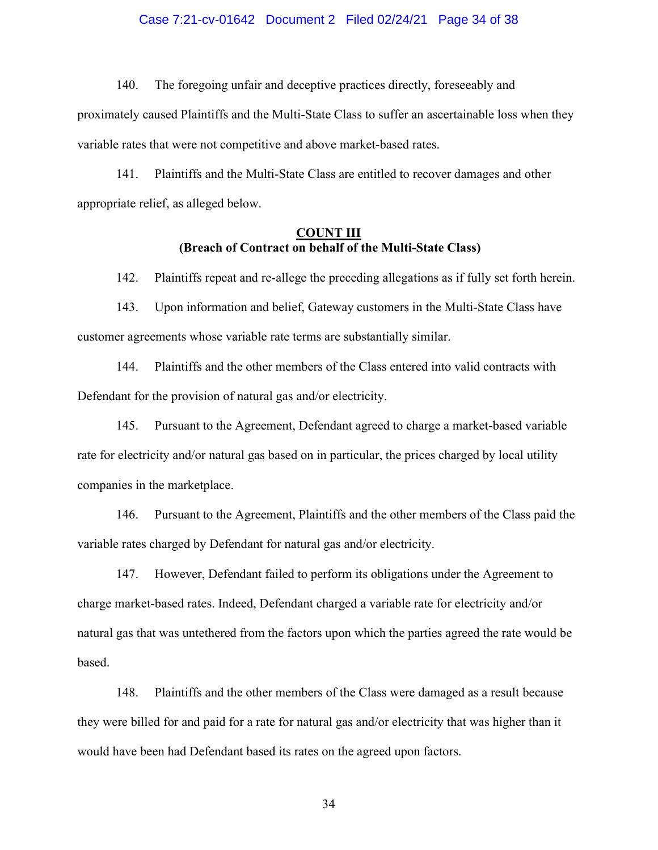### Case 7:21-cv-01642 Document 2 Filed 02/24/21 Page 34 of 38

140. The foregoing unfair and deceptive practices directly, foreseeably and

proximately caused Plaintiffs and the Multi-State Class to suffer an ascertainable loss when they variable rates that were not competitive and above market-based rates.

141. Plaintiffs and the Multi-State Class are entitled to recover damages and other appropriate relief, as alleged below.

## COUNT III (Breach of Contract on behalf of the Multi-State Class)

142. Plaintiffs repeat and re-allege the preceding allegations as if fully set forth herein.

143. Upon information and belief, Gateway customers in the Multi-State Class have customer agreements whose variable rate terms are substantially similar.

144. Plaintiffs and the other members of the Class entered into valid contracts with Defendant for the provision of natural gas and/or electricity.

145. Pursuant to the Agreement, Defendant agreed to charge a market-based variable rate for electricity and/or natural gas based on in particular, the prices charged by local utility companies in the marketplace.

146. Pursuant to the Agreement, Plaintiffs and the other members of the Class paid the variable rates charged by Defendant for natural gas and/or electricity.

147. However, Defendant failed to perform its obligations under the Agreement to charge market-based rates. Indeed, Defendant charged a variable rate for electricity and/or natural gas that was untethered from the factors upon which the parties agreed the rate would be based.

148. Plaintiffs and the other members of the Class were damaged as a result because they were billed for and paid for a rate for natural gas and/or electricity that was higher than it would have been had Defendant based its rates on the agreed upon factors.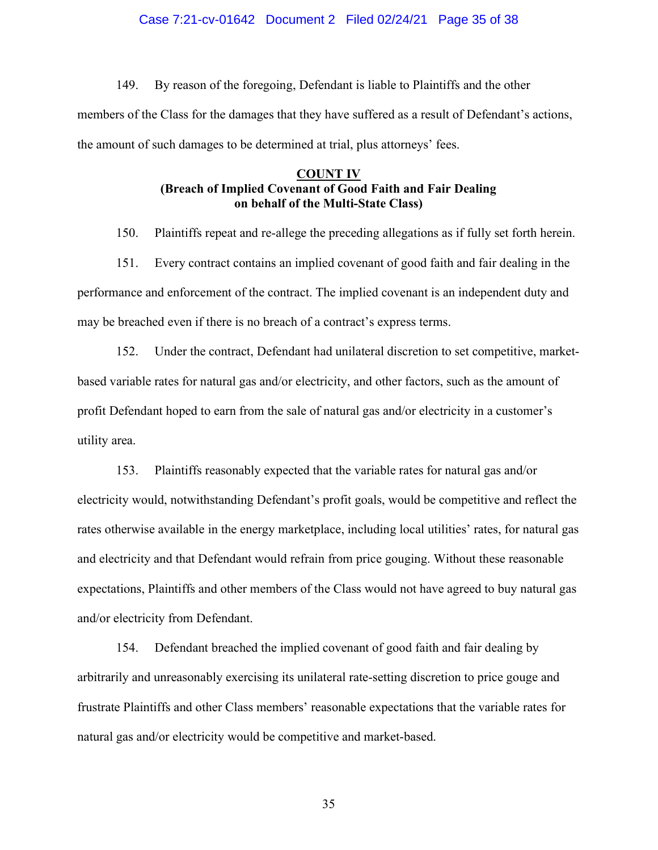### Case 7:21-cv-01642 Document 2 Filed 02/24/21 Page 35 of 38

149. By reason of the foregoing, Defendant is liable to Plaintiffs and the other members of the Class for the damages that they have suffered as a result of Defendant's actions, the amount of such damages to be determined at trial, plus attorneys' fees.

## COUNT IV (Breach of Implied Covenant of Good Faith and Fair Dealing on behalf of the Multi-State Class)

150. Plaintiffs repeat and re-allege the preceding allegations as if fully set forth herein.

151. Every contract contains an implied covenant of good faith and fair dealing in the performance and enforcement of the contract. The implied covenant is an independent duty and may be breached even if there is no breach of a contract's express terms.

152. Under the contract, Defendant had unilateral discretion to set competitive, marketbased variable rates for natural gas and/or electricity, and other factors, such as the amount of profit Defendant hoped to earn from the sale of natural gas and/or electricity in a customer's utility area.

153. Plaintiffs reasonably expected that the variable rates for natural gas and/or electricity would, notwithstanding Defendant's profit goals, would be competitive and reflect the rates otherwise available in the energy marketplace, including local utilities' rates, for natural gas and electricity and that Defendant would refrain from price gouging. Without these reasonable expectations, Plaintiffs and other members of the Class would not have agreed to buy natural gas and/or electricity from Defendant.

154. Defendant breached the implied covenant of good faith and fair dealing by arbitrarily and unreasonably exercising its unilateral rate-setting discretion to price gouge and frustrate Plaintiffs and other Class members' reasonable expectations that the variable rates for natural gas and/or electricity would be competitive and market-based.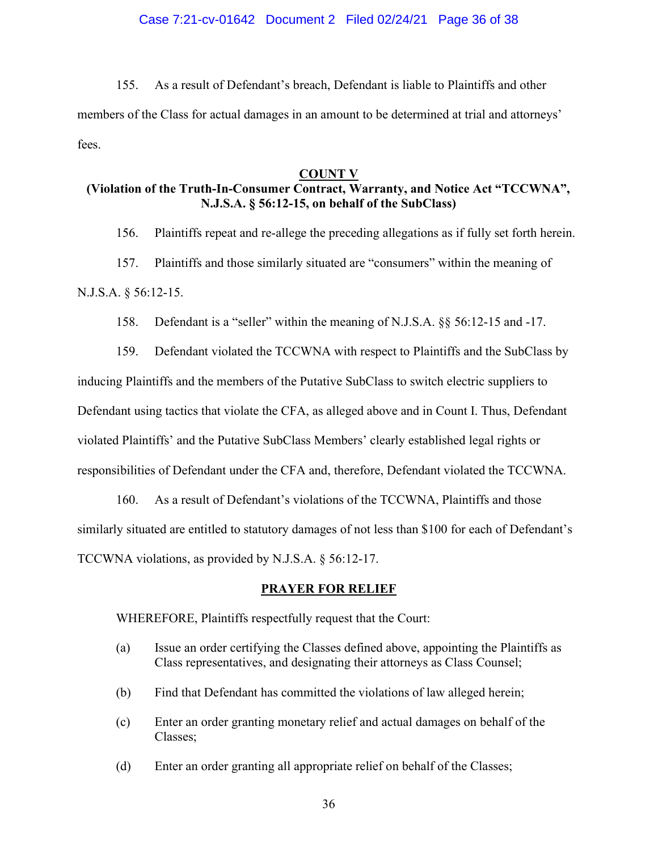155. As a result of Defendant's breach, Defendant is liable to Plaintiffs and other members of the Class for actual damages in an amount to be determined at trial and attorneys' fees.

### COUNT V

# (Violation of the Truth-In-Consumer Contract, Warranty, and Notice Act "TCCWNA", N.J.S.A. § 56:12-15, on behalf of the SubClass)

156. Plaintiffs repeat and re-allege the preceding allegations as if fully set forth herein.

157. Plaintiffs and those similarly situated are "consumers" within the meaning of N.J.S.A. § 56:12-15.

158. Defendant is a "seller" within the meaning of N.J.S.A. §§ 56:12-15 and -17.

159. Defendant violated the TCCWNA with respect to Plaintiffs and the SubClass by inducing Plaintiffs and the members of the Putative SubClass to switch electric suppliers to Defendant using tactics that violate the CFA, as alleged above and in Count I. Thus, Defendant violated Plaintiffs' and the Putative SubClass Members' clearly established legal rights or responsibilities of Defendant under the CFA and, therefore, Defendant violated the TCCWNA.

160. As a result of Defendant's violations of the TCCWNA, Plaintiffs and those similarly situated are entitled to statutory damages of not less than \$100 for each of Defendant's TCCWNA violations, as provided by N.J.S.A. § 56:12-17.

### PRAYER FOR RELIEF

WHEREFORE, Plaintiffs respectfully request that the Court:

- (a) Issue an order certifying the Classes defined above, appointing the Plaintiffs as Class representatives, and designating their attorneys as Class Counsel;
- (b) Find that Defendant has committed the violations of law alleged herein;
- (c) Enter an order granting monetary relief and actual damages on behalf of the Classes;
- (d) Enter an order granting all appropriate relief on behalf of the Classes;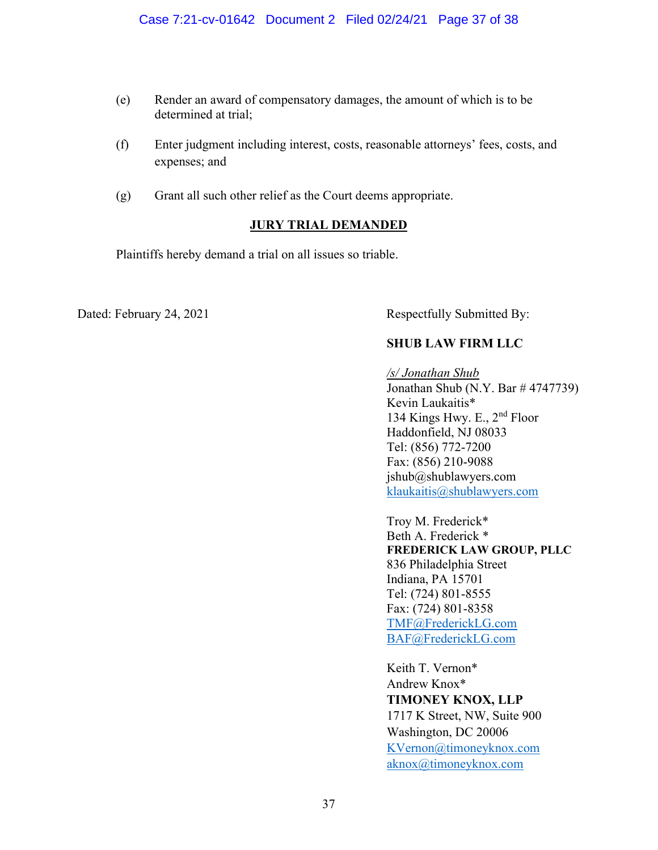- (e) Render an award of compensatory damages, the amount of which is to be determined at trial;
- (f) Enter judgment including interest, costs, reasonable attorneys' fees, costs, and expenses; and
- (g) Grant all such other relief as the Court deems appropriate.

# JURY TRIAL DEMANDED

Plaintiffs hereby demand a trial on all issues so triable.

Dated: February 24, 2021 Respectfully Submitted By:

# SHUB LAW FIRM LLC

/s/ Jonathan Shub Jonathan Shub (N.Y. Bar # 4747739) Kevin Laukaitis\* 134 Kings Hwy. E., 2nd Floor Haddonfield, NJ 08033 Tel: (856) 772-7200 Fax: (856) 210-9088 jshub@shublawyers.com klaukaitis@shublawyers.com

 Troy M. Frederick\* Beth A. Frederick \* FREDERICK LAW GROUP, PLLC 836 Philadelphia Street Indiana, PA 15701 Tel: (724) 801-8555 Fax: (724) 801-8358 TMF@FrederickLG.com BAF@FrederickLG.com

Keith T. Vernon\* Andrew Knox\* TIMONEY KNOX, LLP 1717 K Street, NW, Suite 900 Washington, DC 20006 KVernon@timoneyknox.com aknox@timoneyknox.com